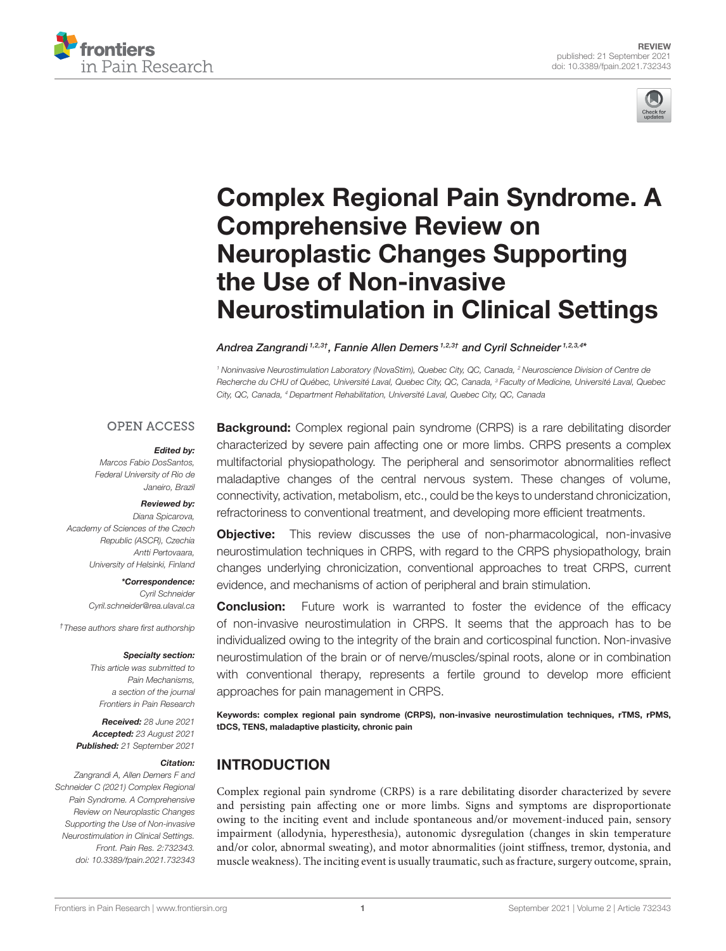



# Complex Regional Pain Syndrome. A Comprehensive Review on Neuroplastic Changes Supporting the Use of Non-invasive [Neurostimulation in Clinical Settings](https://www.frontiersin.org/articles/10.3389/fpain.2021.732343/full)

Andrea Zangrandi 1,2,3†, Fannie Allen Demers 1,2,3† and Cyril Schneider 1,2,3,4\*

<sup>1</sup> Noninvasive Neurostimulation Laboratory (NovaStim), Quebec City, QC, Canada, <sup>2</sup> Neuroscience Division of Centre de Recherche du CHU of Québec, Université Laval, Quebec City, QC, Canada, <sup>3</sup> Faculty of Medicine, Université Laval, Quebec City, QC, Canada, <sup>4</sup> Department Rehabilitation, Université Laval, Quebec City, QC, Canada

### **OPEN ACCESS**

#### Edited by:

Marcos Fabio DosSantos, Federal University of Rio de Janeiro, Brazil

#### Reviewed by:

Diana Spicarova, Academy of Sciences of the Czech Republic (ASCR), Czechia Antti Pertovaara, University of Helsinki, Finland

> \*Correspondence: Cyril Schneider [Cyril.schneider@rea.ulaval.ca](mailto:Cyril.schneider@rea.ulaval.ca)

†These authors share first authorship

#### Specialty section:

This article was submitted to Pain Mechanisms, a section of the journal Frontiers in Pain Research

Received: 28 June 2021 Accepted: 23 August 2021 Published: 21 September 2021

#### Citation:

Zangrandi A, Allen Demers F and Schneider C (2021) Complex Regional Pain Syndrome. A Comprehensive Review on Neuroplastic Changes Supporting the Use of Non-invasive Neurostimulation in Clinical Settings. Front. Pain Res. 2:732343. doi: [10.3389/fpain.2021.732343](https://doi.org/10.3389/fpain.2021.732343) **Background:** Complex regional pain syndrome (CRPS) is a rare debilitating disorder characterized by severe pain affecting one or more limbs. CRPS presents a complex multifactorial physiopathology. The peripheral and sensorimotor abnormalities reflect maladaptive changes of the central nervous system. These changes of volume, connectivity, activation, metabolism, etc., could be the keys to understand chronicization, refractoriness to conventional treatment, and developing more efficient treatments.

**Objective:** This review discusses the use of non-pharmacological, non-invasive neurostimulation techniques in CRPS, with regard to the CRPS physiopathology, brain changes underlying chronicization, conventional approaches to treat CRPS, current evidence, and mechanisms of action of peripheral and brain stimulation.

**Conclusion:** Future work is warranted to foster the evidence of the efficacy of non-invasive neurostimulation in CRPS. It seems that the approach has to be individualized owing to the integrity of the brain and corticospinal function. Non-invasive neurostimulation of the brain or of nerve/muscles/spinal roots, alone or in combination with conventional therapy, represents a fertile ground to develop more efficient approaches for pain management in CRPS.

Keywords: complex regional pain syndrome (CRPS), non-invasive neurostimulation techniques, rTMS, rPMS, tDCS, TENS, maladaptive plasticity, chronic pain

# INTRODUCTION

Complex regional pain syndrome (CRPS) is a rare debilitating disorder characterized by severe and persisting pain affecting one or more limbs. Signs and symptoms are disproportionate owing to the inciting event and include spontaneous and/or movement-induced pain, sensory impairment (allodynia, hyperesthesia), autonomic dysregulation (changes in skin temperature and/or color, abnormal sweating), and motor abnormalities (joint stiffness, tremor, dystonia, and muscle weakness). The inciting event is usually traumatic, such as fracture, surgery outcome, sprain,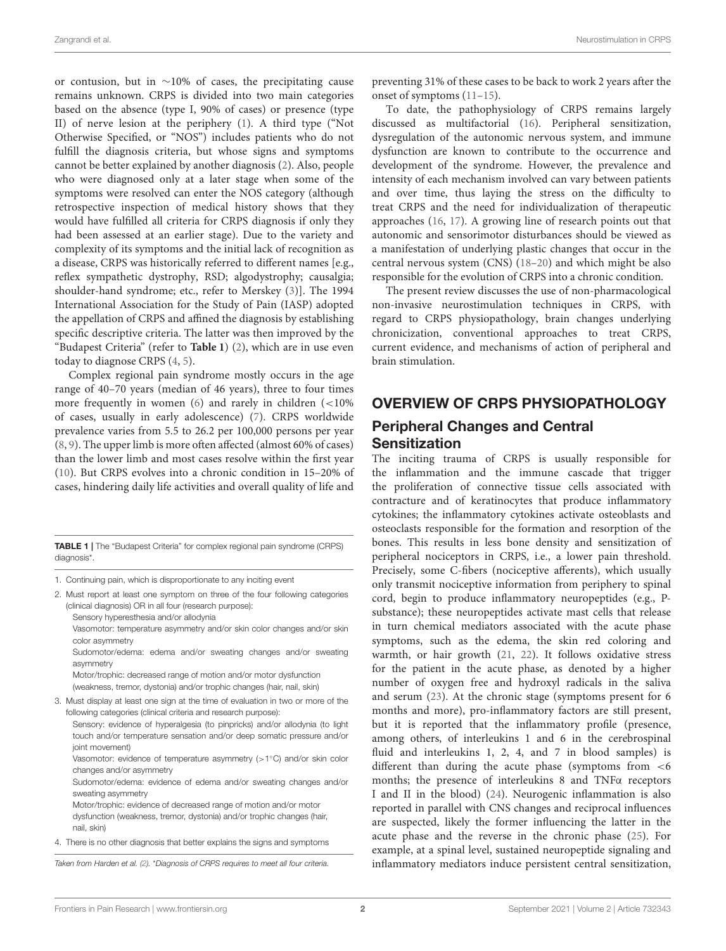or contusion, but in ∼10% of cases, the precipitating cause remains unknown. CRPS is divided into two main categories based on the absence (type I, 90% of cases) or presence (type II) of nerve lesion at the periphery [\(1\)](#page-10-0). A third type ("Not Otherwise Specified, or "NOS") includes patients who do not fulfill the diagnosis criteria, but whose signs and symptoms cannot be better explained by another diagnosis [\(2\)](#page-10-1). Also, people who were diagnosed only at a later stage when some of the symptoms were resolved can enter the NOS category (although retrospective inspection of medical history shows that they would have fulfilled all criteria for CRPS diagnosis if only they had been assessed at an earlier stage). Due to the variety and complexity of its symptoms and the initial lack of recognition as a disease, CRPS was historically referred to different names [e.g., reflex sympathetic dystrophy, RSD; algodystrophy; causalgia; shoulder-hand syndrome; etc., refer to Merskey [\(3\)](#page-10-2)]. The 1994 International Association for the Study of Pain (IASP) adopted the appellation of CRPS and affined the diagnosis by establishing specific descriptive criteria. The latter was then improved by the "Budapest Criteria" (refer to **[Table 1](#page-1-0)**) [\(2\)](#page-10-1), which are in use even today to diagnose CRPS [\(4,](#page-10-3) [5\)](#page-10-4).

Complex regional pain syndrome mostly occurs in the age range of 40–70 years (median of 46 years), three to four times more frequently in women [\(6\)](#page-10-5) and rarely in children (<10% of cases, usually in early adolescence) [\(7\)](#page-10-6). CRPS worldwide prevalence varies from 5.5 to 26.2 per 100,000 persons per year [\(8,](#page-10-7) [9\)](#page-10-8). The upper limb is more often affected (almost 60% of cases) than the lower limb and most cases resolve within the first year [\(10\)](#page-10-9). But CRPS evolves into a chronic condition in 15–20% of cases, hindering daily life activities and overall quality of life and

<span id="page-1-0"></span>TABLE 1 | The "Budapest Criteria" for complex regional pain syndrome (CRPS) diagnosis\*.

- 1. Continuing pain, which is disproportionate to any inciting event
- 2. Must report at least one symptom on three of the four following categories (clinical diagnosis) OR in all four (research purpose):

Sensory hyperesthesia and/or allodynia Vasomotor: temperature asymmetry and/or skin color changes and/or skin color asymmetry

Sudomotor/edema: edema and/or sweating changes and/or sweating asymmetry

Motor/trophic: decreased range of motion and/or motor dysfunction (weakness, tremor, dystonia) and/or trophic changes (hair, nail, skin)

3. Must display at least one sign at the time of evaluation in two or more of the following categories (clinical criteria and research purpose):

Sensory: evidence of hyperalgesia (to pinpricks) and/or allodynia (to light touch and/or temperature sensation and/or deep somatic pressure and/or joint movement)

Vasomotor: evidence of temperature asymmetry (>1°C) and/or skin color changes and/or asymmetry

Sudomotor/edema: evidence of edema and/or sweating changes and/or sweating asymmetry

Motor/trophic: evidence of decreased range of motion and/or motor dysfunction (weakness, tremor, dystonia) and/or trophic changes (hair, nail, skin)

4. There is no other diagnosis that better explains the signs and symptoms

Taken from Harden et al. [\(2\)](#page-10-1). \*Diagnosis of CRPS requires to meet all four criteria.

preventing 31% of these cases to be back to work 2 years after the onset of symptoms [\(11](#page-10-10)[–15\)](#page-10-11).

To date, the pathophysiology of CRPS remains largely discussed as multifactorial [\(16\)](#page-10-12). Peripheral sensitization, dysregulation of the autonomic nervous system, and immune dysfunction are known to contribute to the occurrence and development of the syndrome. However, the prevalence and intensity of each mechanism involved can vary between patients and over time, thus laying the stress on the difficulty to treat CRPS and the need for individualization of therapeutic approaches [\(16,](#page-10-12) [17\)](#page-10-13). A growing line of research points out that autonomic and sensorimotor disturbances should be viewed as a manifestation of underlying plastic changes that occur in the central nervous system (CNS) [\(18–](#page-10-14)[20\)](#page-10-15) and which might be also responsible for the evolution of CRPS into a chronic condition.

The present review discusses the use of non-pharmacological non-invasive neurostimulation techniques in CRPS, with regard to CRPS physiopathology, brain changes underlying chronicization, conventional approaches to treat CRPS, current evidence, and mechanisms of action of peripheral and brain stimulation.

# OVERVIEW OF CRPS PHYSIOPATHOLOGY

# Peripheral Changes and Central **Sensitization**

The inciting trauma of CRPS is usually responsible for the inflammation and the immune cascade that trigger the proliferation of connective tissue cells associated with contracture and of keratinocytes that produce inflammatory cytokines; the inflammatory cytokines activate osteoblasts and osteoclasts responsible for the formation and resorption of the bones. This results in less bone density and sensitization of peripheral nociceptors in CRPS, i.e., a lower pain threshold. Precisely, some C-fibers (nociceptive afferents), which usually only transmit nociceptive information from periphery to spinal cord, begin to produce inflammatory neuropeptides (e.g., Psubstance); these neuropeptides activate mast cells that release in turn chemical mediators associated with the acute phase symptoms, such as the edema, the skin red coloring and warmth, or hair growth [\(21,](#page-10-16) [22\)](#page-10-17). It follows oxidative stress for the patient in the acute phase, as denoted by a higher number of oxygen free and hydroxyl radicals in the saliva and serum [\(23\)](#page-10-18). At the chronic stage (symptoms present for 6 months and more), pro-inflammatory factors are still present, but it is reported that the inflammatory profile (presence, among others, of interleukins 1 and 6 in the cerebrospinal fluid and interleukins 1, 2, 4, and 7 in blood samples) is different than during the acute phase (symptoms from <6 months; the presence of interleukins 8 and TNFα receptors I and II in the blood) [\(24\)](#page-10-19). Neurogenic inflammation is also reported in parallel with CNS changes and reciprocal influences are suspected, likely the former influencing the latter in the acute phase and the reverse in the chronic phase [\(25\)](#page-10-20). For example, at a spinal level, sustained neuropeptide signaling and inflammatory mediators induce persistent central sensitization,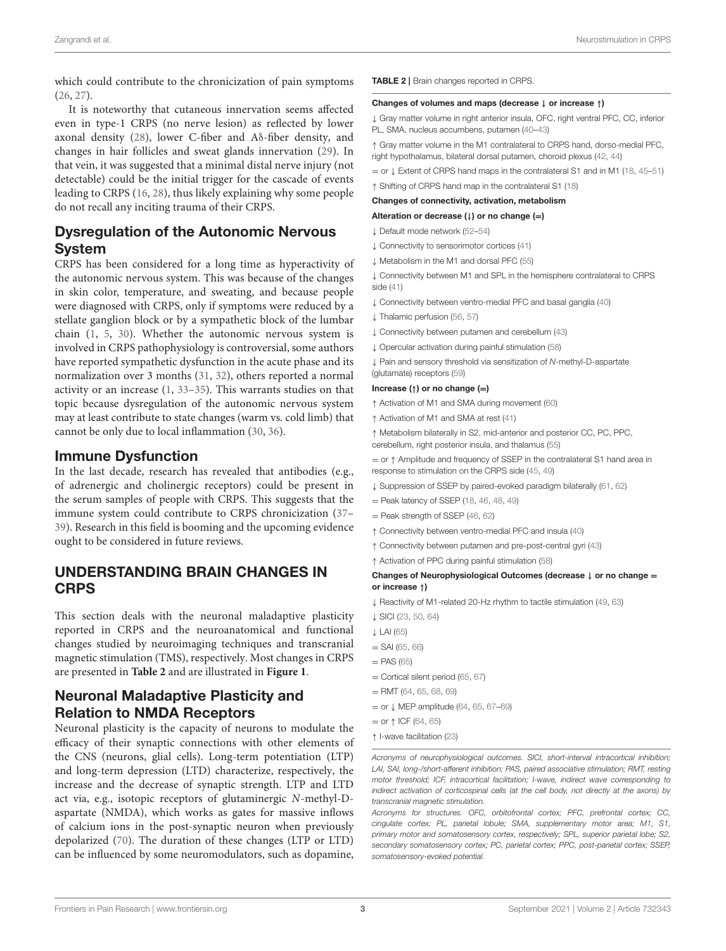which could contribute to the chronicization of pain symptoms [\(26,](#page-10-21) [27\)](#page-11-0).

It is noteworthy that cutaneous innervation seems affected even in type-1 CRPS (no nerve lesion) as reflected by lower axonal density [\(28\)](#page-11-1), lower C-fiber and Aδ-fiber density, and changes in hair follicles and sweat glands innervation [\(29\)](#page-11-2). In that vein, it was suggested that a minimal distal nerve injury (not detectable) could be the initial trigger for the cascade of events leading to CRPS [\(16,](#page-10-12) [28\)](#page-11-1), thus likely explaining why some people do not recall any inciting trauma of their CRPS.

# Dysregulation of the Autonomic Nervous System

CRPS has been considered for a long time as hyperactivity of the autonomic nervous system. This was because of the changes in skin color, temperature, and sweating, and because people were diagnosed with CRPS, only if symptoms were reduced by a stellate ganglion block or by a sympathetic block of the lumbar chain [\(1,](#page-10-0) [5,](#page-10-4) [30\)](#page-11-3). Whether the autonomic nervous system is involved in CRPS pathophysiology is controversial, some authors have reported sympathetic dysfunction in the acute phase and its normalization over 3 months [\(31,](#page-11-4) [32\)](#page-11-5), others reported a normal activity or an increase [\(1,](#page-10-0) [33–](#page-11-6)[35\)](#page-11-7). This warrants studies on that topic because dysregulation of the autonomic nervous system may at least contribute to state changes (warm vs. cold limb) that cannot be only due to local inflammation [\(30,](#page-11-3) [36\)](#page-11-8).

# Immune Dysfunction

In the last decade, research has revealed that antibodies (e.g., of adrenergic and cholinergic receptors) could be present in the serum samples of people with CRPS. This suggests that the immune system could contribute to CRPS chronicization [\(37–](#page-11-9) [39\)](#page-11-10). Research in this field is booming and the upcoming evidence ought to be considered in future reviews.

# UNDERSTANDING BRAIN CHANGES IN **CRPS**

This section deals with the neuronal maladaptive plasticity reported in CRPS and the neuroanatomical and functional changes studied by neuroimaging techniques and transcranial magnetic stimulation (TMS), respectively. Most changes in CRPS are presented in **[Table 2](#page-2-0)** and are illustrated in **[Figure 1](#page-3-0)**.

# Neuronal Maladaptive Plasticity and Relation to NMDA Receptors

Neuronal plasticity is the capacity of neurons to modulate the efficacy of their synaptic connections with other elements of the CNS (neurons, glial cells). Long-term potentiation (LTP) and long-term depression (LTD) characterize, respectively, the increase and the decrease of synaptic strength. LTP and LTD act via, e.g., isotopic receptors of glutaminergic N-methyl-Daspartate (NMDA), which works as gates for massive inflows of calcium ions in the post-synaptic neuron when previously depolarized [\(70\)](#page-12-0). The duration of these changes (LTP or LTD) can be influenced by some neuromodulators, such as dopamine, <span id="page-2-0"></span>TABLE 2 | Brain changes reported in CRPS.

#### Changes of volumes and maps (decrease ↓ or increase ↑)

↓ Gray matter volume in right anterior insula, OFC, right ventral PFC, CC, inferior PL, SMA, nucleus accumbens, putamen [\(40–](#page-11-11)[43\)](#page-11-12)

↑ Gray matter volume in the M1 contralateral to CRPS hand, dorso-medial PFC, right hypothalamus, bilateral dorsal putamen, choroid plexus [\(42,](#page-11-13) [44\)](#page-11-14)

= or ↓ Extent of CRPS hand maps in the contralateral S1 and in M1 [\(18,](#page-10-14) [45–](#page-11-15)[51\)](#page-11-16)

↑ Shifting of CRPS hand map in the contralateral S1 [\(18\)](#page-10-14)

#### Changes of connectivity, activation, metabolism

Alteration or decrease  $($  $\downarrow$ ) or no change (=)

- ↓ Default mode network [\(52](#page-11-17)[–54\)](#page-11-18)
- ↓ Connectivity to sensorimotor cortices [\(41\)](#page-11-19)
- ↓ Metabolism in the M1 and dorsal PFC [\(55\)](#page-11-20)

↓ Connectivity between M1 and SPL in the hemisphere contralateral to CRPS side [\(41\)](#page-11-19)

- ↓ Connectivity between ventro-medial PFC and basal ganglia [\(40\)](#page-11-11)
- ↓ Thalamic perfusion [\(56,](#page-11-21) [57\)](#page-11-22)
- ↓ Connectivity between putamen and cerebellum [\(43\)](#page-11-12)
- ↓ Opercular activation during painful stimulation [\(58\)](#page-11-23)

↓ Pain and sensory threshold via sensitization of N-methyl-D-aspartate (glutamate) receptors [\(59\)](#page-11-24)

#### Increase (↑) or no change (=)

- ↑ Activation of M1 and SMA during movement [\(60\)](#page-11-25)
- ↑ Activation of M1 and SMA at rest [\(41\)](#page-11-19)

↑ Metabolism bilaterally in S2, mid-anterior and posterior CC, PC, PPC, cerebellum, right posterior insula, and thalamus [\(55\)](#page-11-20)

= or ↑ Amplitude and frequency of SSEP in the contralateral S1 hand area in response to stimulation on the CRPS side [\(45,](#page-11-15) [49\)](#page-11-26)

- ↓ Suppression of SSEP by paired-evoked paradigm bilaterally [\(61,](#page-11-27) [62\)](#page-11-28)
- $=$  Peak latency of SSEP [\(18,](#page-10-14) [46,](#page-11-29) [48,](#page-11-30) [49\)](#page-11-26)
- = Peak strength of SSEP [\(46,](#page-11-29) [62\)](#page-11-28)
- ↑ Connectivity between ventro-medial PFC and insula [\(40\)](#page-11-11)
- ↑ Connectivity between putamen and pre-post-central gyri [\(43\)](#page-11-12)
- ↑ Activation of PPC during painful stimulation [\(58\)](#page-11-23)

#### Changes of Neurophysiological Outcomes (decrease ↓ or no change = or increase ↑)

- ↓ Reactivity of M1-related 20-Hz rhythm to tactile stimulation [\(49,](#page-11-26) [63\)](#page-11-31)
- ↓ SICI [\(23,](#page-10-18) [50,](#page-11-32) [64\)](#page-11-33)
- ↓ LAI [\(65\)](#page-12-1)
- $=$  SAI [\(65,](#page-12-1) [66\)](#page-12-2)
- $=$  PAS [\(65\)](#page-12-1)
- $=$  Cortical silent period [\(65,](#page-12-1) [67\)](#page-12-3)
- $=$  RMT [\(64,](#page-11-33) [65,](#page-12-1) [68,](#page-12-4) [69\)](#page-12-5)
- = or ↓ MEP amplitude [\(64,](#page-11-33) [65,](#page-12-1) [67–](#page-12-3)[69\)](#page-12-5)
- $=$  or  $\uparrow$  ICF [\(64,](#page-11-33) [65\)](#page-12-1)
- ↑ I-wave facilitation [\(23\)](#page-10-18)

Acronyms of neurophysiological outcomes. SICI, short-interval intracortical inhibition; LAI, SAI, long-/short-afferent inhibition; PAS, paired associative stimulation; RMT, resting motor threshold; ICF, intracortical facilitation; I-wave, indirect wave corresponding to indirect activation of corticospinal cells (at the cell body, not directly at the axons) by transcranial magnetic stimulation.

Acronyms for structures. OFC, orbitofrontal cortex; PFC, prefrontal cortex; CC, cingulate cortex; PL, parietal lobule; SMA, supplementary motor area; M1, S1, primary motor and somatosensory cortex, respectively; SPL, superior parietal lobe; S2, secondary somatosensory cortex; PC, parietal cortex; PPC, post-parietal cortex; SSEP, somatosensory-evoked potential.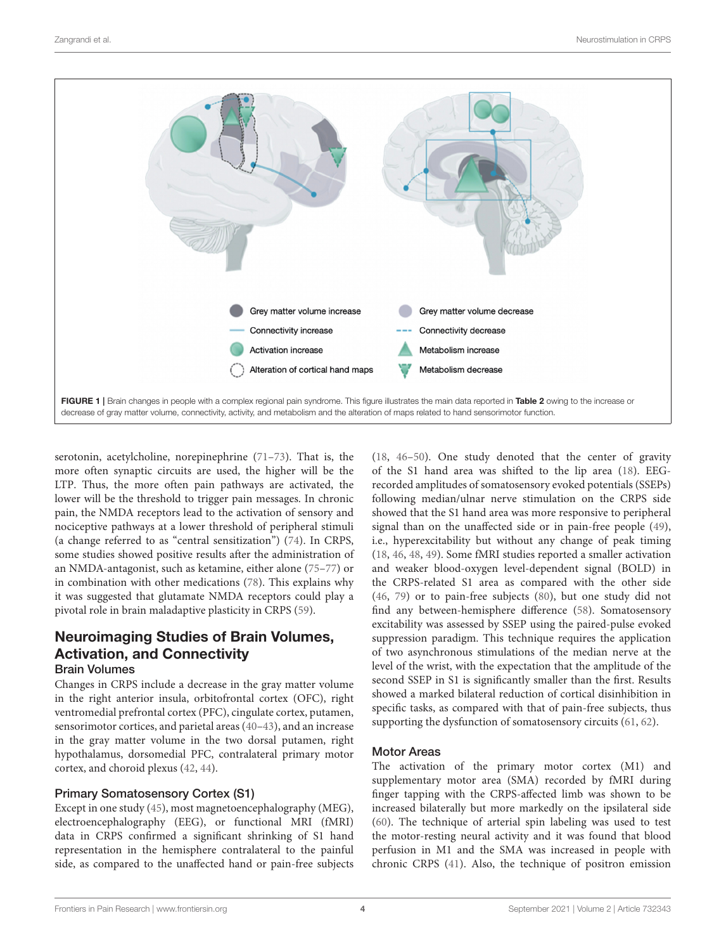

<span id="page-3-0"></span>serotonin, acetylcholine, norepinephrine [\(71–](#page-12-6)[73\)](#page-12-7). That is, the more often synaptic circuits are used, the higher will be the LTP. Thus, the more often pain pathways are activated, the lower will be the threshold to trigger pain messages. In chronic pain, the NMDA receptors lead to the activation of sensory and nociceptive pathways at a lower threshold of peripheral stimuli (a change referred to as "central sensitization") [\(74\)](#page-12-8). In CRPS, some studies showed positive results after the administration of an NMDA-antagonist, such as ketamine, either alone [\(75](#page-12-9)[–77\)](#page-12-10) or in combination with other medications [\(78\)](#page-12-11). This explains why it was suggested that glutamate NMDA receptors could play a pivotal role in brain maladaptive plasticity in CRPS [\(59\)](#page-11-24).

# Neuroimaging Studies of Brain Volumes, Activation, and Connectivity Brain Volumes

Changes in CRPS include a decrease in the gray matter volume in the right anterior insula, orbitofrontal cortex (OFC), right ventromedial prefrontal cortex (PFC), cingulate cortex, putamen, sensorimotor cortices, and parietal areas [\(40–](#page-11-11)[43\)](#page-11-12), and an increase in the gray matter volume in the two dorsal putamen, right hypothalamus, dorsomedial PFC, contralateral primary motor cortex, and choroid plexus [\(42,](#page-11-13) [44\)](#page-11-14).

#### Primary Somatosensory Cortex (S1)

Except in one study [\(45\)](#page-11-15), most magnetoencephalography (MEG), electroencephalography (EEG), or functional MRI (fMRI) data in CRPS confirmed a significant shrinking of S1 hand representation in the hemisphere contralateral to the painful side, as compared to the unaffected hand or pain-free subjects [\(18,](#page-10-14) [46](#page-11-29)[–50\)](#page-11-32). One study denoted that the center of gravity of the S1 hand area was shifted to the lip area [\(18\)](#page-10-14). EEGrecorded amplitudes of somatosensory evoked potentials (SSEPs) following median/ulnar nerve stimulation on the CRPS side showed that the S1 hand area was more responsive to peripheral signal than on the unaffected side or in pain-free people [\(49\)](#page-11-26), i.e., hyperexcitability but without any change of peak timing [\(18,](#page-10-14) [46,](#page-11-29) [48,](#page-11-30) [49\)](#page-11-26). Some fMRI studies reported a smaller activation and weaker blood-oxygen level-dependent signal (BOLD) in the CRPS-related S1 area as compared with the other side [\(46,](#page-11-29) [79\)](#page-12-12) or to pain-free subjects [\(80\)](#page-12-13), but one study did not find any between-hemisphere difference [\(58\)](#page-11-23). Somatosensory excitability was assessed by SSEP using the paired-pulse evoked suppression paradigm. This technique requires the application of two asynchronous stimulations of the median nerve at the level of the wrist, with the expectation that the amplitude of the second SSEP in S1 is significantly smaller than the first. Results showed a marked bilateral reduction of cortical disinhibition in specific tasks, as compared with that of pain-free subjects, thus supporting the dysfunction of somatosensory circuits [\(61,](#page-11-27) [62\)](#page-11-28).

#### Motor Areas

The activation of the primary motor cortex (M1) and supplementary motor area (SMA) recorded by fMRI during finger tapping with the CRPS-affected limb was shown to be increased bilaterally but more markedly on the ipsilateral side [\(60\)](#page-11-25). The technique of arterial spin labeling was used to test the motor-resting neural activity and it was found that blood perfusion in M1 and the SMA was increased in people with chronic CRPS [\(41\)](#page-11-19). Also, the technique of positron emission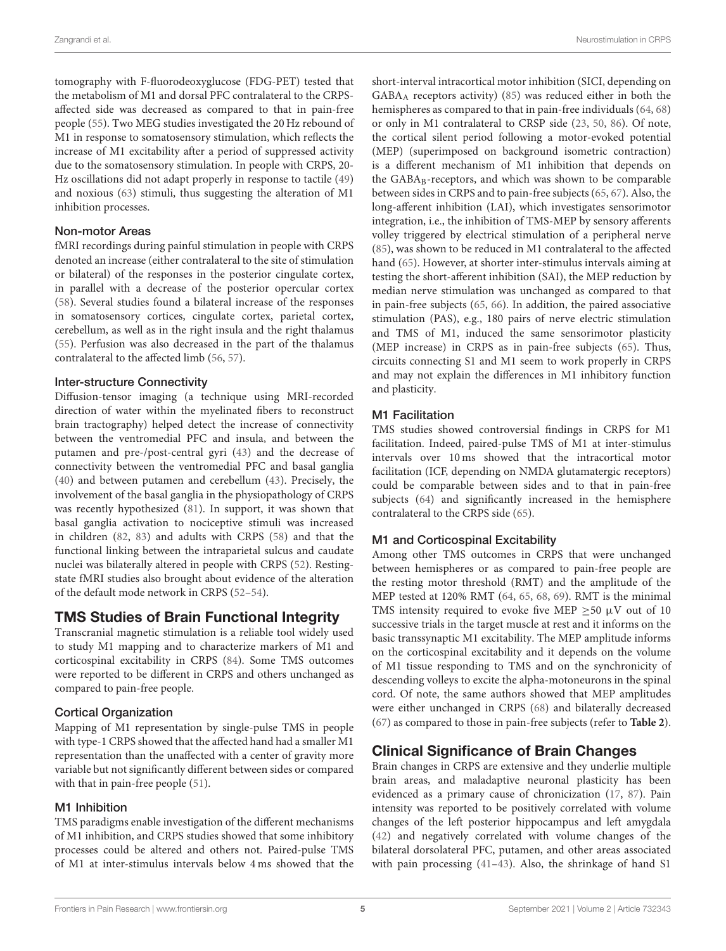tomography with F-fluorodeoxyglucose (FDG-PET) tested that the metabolism of M1 and dorsal PFC contralateral to the CRPSaffected side was decreased as compared to that in pain-free people [\(55\)](#page-11-20). Two MEG studies investigated the 20 Hz rebound of M1 in response to somatosensory stimulation, which reflects the increase of M1 excitability after a period of suppressed activity due to the somatosensory stimulation. In people with CRPS, 20- Hz oscillations did not adapt properly in response to tactile [\(49\)](#page-11-26) and noxious [\(63\)](#page-11-31) stimuli, thus suggesting the alteration of M1 inhibition processes.

#### Non-motor Areas

fMRI recordings during painful stimulation in people with CRPS denoted an increase (either contralateral to the site of stimulation or bilateral) of the responses in the posterior cingulate cortex, in parallel with a decrease of the posterior opercular cortex [\(58\)](#page-11-23). Several studies found a bilateral increase of the responses in somatosensory cortices, cingulate cortex, parietal cortex, cerebellum, as well as in the right insula and the right thalamus [\(55\)](#page-11-20). Perfusion was also decreased in the part of the thalamus contralateral to the affected limb [\(56,](#page-11-21) [57\)](#page-11-22).

#### Inter-structure Connectivity

Diffusion-tensor imaging (a technique using MRI-recorded direction of water within the myelinated fibers to reconstruct brain tractography) helped detect the increase of connectivity between the ventromedial PFC and insula, and between the putamen and pre-/post-central gyri [\(43\)](#page-11-12) and the decrease of connectivity between the ventromedial PFC and basal ganglia [\(40\)](#page-11-11) and between putamen and cerebellum [\(43\)](#page-11-12). Precisely, the involvement of the basal ganglia in the physiopathology of CRPS was recently hypothesized [\(81\)](#page-12-14). In support, it was shown that basal ganglia activation to nociceptive stimuli was increased in children [\(82,](#page-12-15) [83\)](#page-12-16) and adults with CRPS [\(58\)](#page-11-23) and that the functional linking between the intraparietal sulcus and caudate nuclei was bilaterally altered in people with CRPS [\(52\)](#page-11-17). Restingstate fMRI studies also brought about evidence of the alteration of the default mode network in CRPS [\(52](#page-11-17)[–54\)](#page-11-18).

# TMS Studies of Brain Functional Integrity

Transcranial magnetic stimulation is a reliable tool widely used to study M1 mapping and to characterize markers of M1 and corticospinal excitability in CRPS [\(84\)](#page-12-17). Some TMS outcomes were reported to be different in CRPS and others unchanged as compared to pain-free people.

#### Cortical Organization

Mapping of M1 representation by single-pulse TMS in people with type-1 CRPS showed that the affected hand had a smaller M1 representation than the unaffected with a center of gravity more variable but not significantly different between sides or compared with that in pain-free people [\(51\)](#page-11-16).

#### M1 Inhibition

TMS paradigms enable investigation of the different mechanisms of M1 inhibition, and CRPS studies showed that some inhibitory processes could be altered and others not. Paired-pulse TMS of M1 at inter-stimulus intervals below 4 ms showed that the short-interval intracortical motor inhibition (SICI, depending on GABA<sup>A</sup> receptors activity) [\(85\)](#page-12-18) was reduced either in both the hemispheres as compared to that in pain-free individuals [\(64,](#page-11-33) [68\)](#page-12-4) or only in M1 contralateral to CRSP side [\(23,](#page-10-18) [50,](#page-11-32) [86\)](#page-12-19). Of note, the cortical silent period following a motor-evoked potential (MEP) (superimposed on background isometric contraction) is a different mechanism of M1 inhibition that depends on the GABA<sub>B</sub>-receptors, and which was shown to be comparable between sides in CRPS and to pain-free subjects [\(65,](#page-12-1) [67\)](#page-12-3). Also, the long-afferent inhibition (LAI), which investigates sensorimotor integration, i.e., the inhibition of TMS-MEP by sensory afferents volley triggered by electrical stimulation of a peripheral nerve [\(85\)](#page-12-18), was shown to be reduced in M1 contralateral to the affected hand [\(65\)](#page-12-1). However, at shorter inter-stimulus intervals aiming at testing the short-afferent inhibition (SAI), the MEP reduction by median nerve stimulation was unchanged as compared to that in pain-free subjects [\(65,](#page-12-1) [66\)](#page-12-2). In addition, the paired associative stimulation (PAS), e.g., 180 pairs of nerve electric stimulation and TMS of M1, induced the same sensorimotor plasticity (MEP increase) in CRPS as in pain-free subjects [\(65\)](#page-12-1). Thus, circuits connecting S1 and M1 seem to work properly in CRPS and may not explain the differences in M1 inhibitory function and plasticity.

### M1 Facilitation

TMS studies showed controversial findings in CRPS for M1 facilitation. Indeed, paired-pulse TMS of M1 at inter-stimulus intervals over 10 ms showed that the intracortical motor facilitation (ICF, depending on NMDA glutamatergic receptors) could be comparable between sides and to that in pain-free subjects [\(64\)](#page-11-33) and significantly increased in the hemisphere contralateral to the CRPS side [\(65\)](#page-12-1).

#### M1 and Corticospinal Excitability

Among other TMS outcomes in CRPS that were unchanged between hemispheres or as compared to pain-free people are the resting motor threshold (RMT) and the amplitude of the MEP tested at 120% RMT [\(64,](#page-11-33) [65,](#page-12-1) [68,](#page-12-4) [69\)](#page-12-5). RMT is the minimal TMS intensity required to evoke five MEP  $\geq$ 50  $\mu$ V out of 10 successive trials in the target muscle at rest and it informs on the basic transsynaptic M1 excitability. The MEP amplitude informs on the corticospinal excitability and it depends on the volume of M1 tissue responding to TMS and on the synchronicity of descending volleys to excite the alpha-motoneurons in the spinal cord. Of note, the same authors showed that MEP amplitudes were either unchanged in CRPS [\(68\)](#page-12-4) and bilaterally decreased [\(67\)](#page-12-3) as compared to those in pain-free subjects (refer to **[Table 2](#page-2-0)**).

# Clinical Significance of Brain Changes

Brain changes in CRPS are extensive and they underlie multiple brain areas, and maladaptive neuronal plasticity has been evidenced as a primary cause of chronicization [\(17,](#page-10-13) [87\)](#page-12-20). Pain intensity was reported to be positively correlated with volume changes of the left posterior hippocampus and left amygdala [\(42\)](#page-11-13) and negatively correlated with volume changes of the bilateral dorsolateral PFC, putamen, and other areas associated with pain processing [\(41](#page-11-19)[–43\)](#page-11-12). Also, the shrinkage of hand S1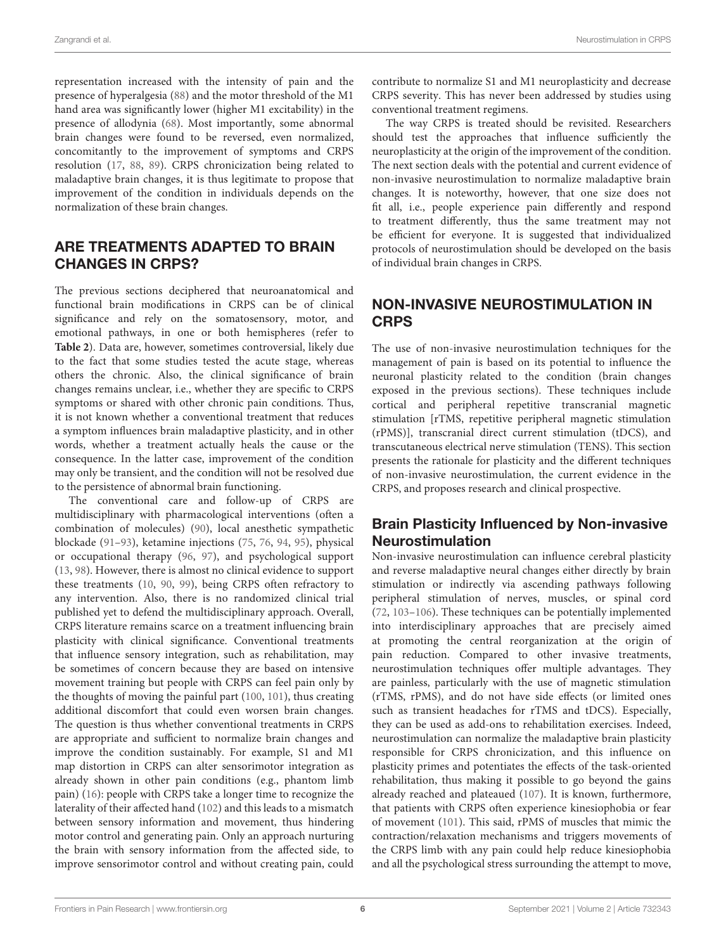representation increased with the intensity of pain and the presence of hyperalgesia [\(88\)](#page-12-21) and the motor threshold of the M1 hand area was significantly lower (higher M1 excitability) in the presence of allodynia [\(68\)](#page-12-4). Most importantly, some abnormal brain changes were found to be reversed, even normalized, concomitantly to the improvement of symptoms and CRPS resolution [\(17,](#page-10-13) [88,](#page-12-21) [89\)](#page-12-22). CRPS chronicization being related to maladaptive brain changes, it is thus legitimate to propose that improvement of the condition in individuals depends on the normalization of these brain changes.

# ARE TREATMENTS ADAPTED TO BRAIN CHANGES IN CRPS?

The previous sections deciphered that neuroanatomical and functional brain modifications in CRPS can be of clinical significance and rely on the somatosensory, motor, and emotional pathways, in one or both hemispheres (refer to **[Table 2](#page-2-0)**). Data are, however, sometimes controversial, likely due to the fact that some studies tested the acute stage, whereas others the chronic. Also, the clinical significance of brain changes remains unclear, i.e., whether they are specific to CRPS symptoms or shared with other chronic pain conditions. Thus, it is not known whether a conventional treatment that reduces a symptom influences brain maladaptive plasticity, and in other words, whether a treatment actually heals the cause or the consequence. In the latter case, improvement of the condition may only be transient, and the condition will not be resolved due to the persistence of abnormal brain functioning.

The conventional care and follow-up of CRPS are multidisciplinary with pharmacological interventions (often a combination of molecules) [\(90\)](#page-12-23), local anesthetic sympathetic blockade [\(91](#page-12-24)[–93\)](#page-12-25), ketamine injections [\(75,](#page-12-9) [76,](#page-12-26) [94,](#page-12-27) [95\)](#page-12-28), physical or occupational therapy [\(96,](#page-12-29) [97\)](#page-12-30), and psychological support [\(13,](#page-10-22) [98\)](#page-12-31). However, there is almost no clinical evidence to support these treatments [\(10,](#page-10-9) [90,](#page-12-23) [99\)](#page-12-32), being CRPS often refractory to any intervention. Also, there is no randomized clinical trial published yet to defend the multidisciplinary approach. Overall, CRPS literature remains scarce on a treatment influencing brain plasticity with clinical significance. Conventional treatments that influence sensory integration, such as rehabilitation, may be sometimes of concern because they are based on intensive movement training but people with CRPS can feel pain only by the thoughts of moving the painful part [\(100,](#page-12-33) [101\)](#page-12-34), thus creating additional discomfort that could even worsen brain changes. The question is thus whether conventional treatments in CRPS are appropriate and sufficient to normalize brain changes and improve the condition sustainably. For example, S1 and M1 map distortion in CRPS can alter sensorimotor integration as already shown in other pain conditions (e.g., phantom limb pain) [\(16\)](#page-10-12): people with CRPS take a longer time to recognize the laterality of their affected hand [\(102\)](#page-12-35) and this leads to a mismatch between sensory information and movement, thus hindering motor control and generating pain. Only an approach nurturing the brain with sensory information from the affected side, to improve sensorimotor control and without creating pain, could contribute to normalize S1 and M1 neuroplasticity and decrease CRPS severity. This has never been addressed by studies using conventional treatment regimens.

The way CRPS is treated should be revisited. Researchers should test the approaches that influence sufficiently the neuroplasticity at the origin of the improvement of the condition. The next section deals with the potential and current evidence of non-invasive neurostimulation to normalize maladaptive brain changes. It is noteworthy, however, that one size does not fit all, i.e., people experience pain differently and respond to treatment differently, thus the same treatment may not be efficient for everyone. It is suggested that individualized protocols of neurostimulation should be developed on the basis of individual brain changes in CRPS.

# NON-INVASIVE NEUROSTIMULATION IN **CRPS**

The use of non-invasive neurostimulation techniques for the management of pain is based on its potential to influence the neuronal plasticity related to the condition (brain changes exposed in the previous sections). These techniques include cortical and peripheral repetitive transcranial magnetic stimulation [rTMS, repetitive peripheral magnetic stimulation (rPMS)], transcranial direct current stimulation (tDCS), and transcutaneous electrical nerve stimulation (TENS). This section presents the rationale for plasticity and the different techniques of non-invasive neurostimulation, the current evidence in the CRPS, and proposes research and clinical prospective.

# Brain Plasticity Influenced by Non-invasive Neurostimulation

Non-invasive neurostimulation can influence cerebral plasticity and reverse maladaptive neural changes either directly by brain stimulation or indirectly via ascending pathways following peripheral stimulation of nerves, muscles, or spinal cord [\(72,](#page-12-36) [103–](#page-13-0)[106\)](#page-13-1). These techniques can be potentially implemented into interdisciplinary approaches that are precisely aimed at promoting the central reorganization at the origin of pain reduction. Compared to other invasive treatments, neurostimulation techniques offer multiple advantages. They are painless, particularly with the use of magnetic stimulation (rTMS, rPMS), and do not have side effects (or limited ones such as transient headaches for rTMS and tDCS). Especially, they can be used as add-ons to rehabilitation exercises. Indeed, neurostimulation can normalize the maladaptive brain plasticity responsible for CRPS chronicization, and this influence on plasticity primes and potentiates the effects of the task-oriented rehabilitation, thus making it possible to go beyond the gains already reached and plateaued [\(107\)](#page-13-2). It is known, furthermore, that patients with CRPS often experience kinesiophobia or fear of movement [\(101\)](#page-12-34). This said, rPMS of muscles that mimic the contraction/relaxation mechanisms and triggers movements of the CRPS limb with any pain could help reduce kinesiophobia and all the psychological stress surrounding the attempt to move,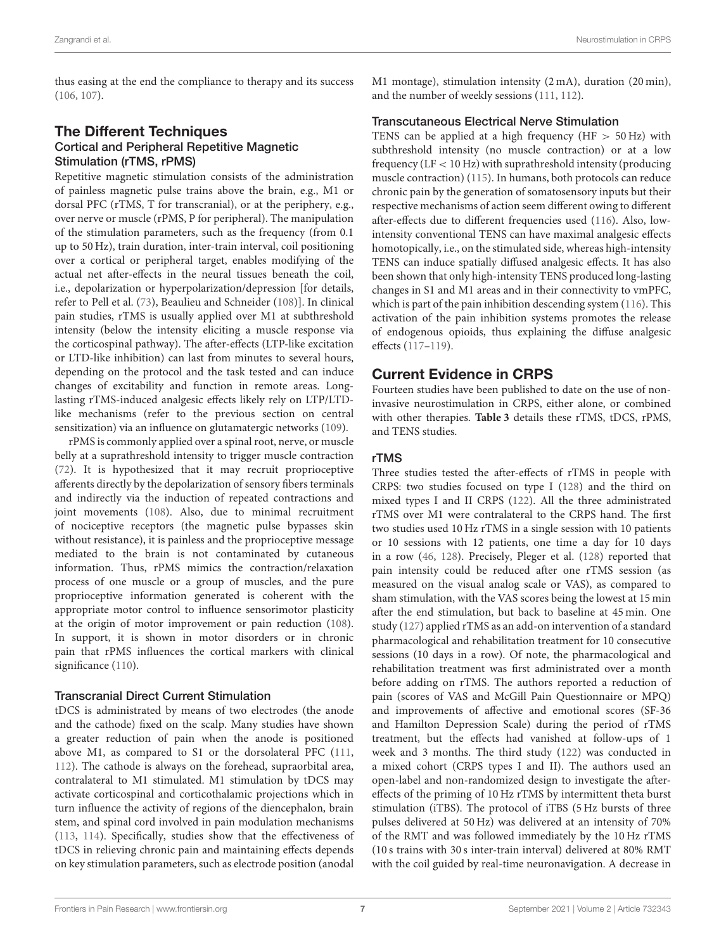thus easing at the end the compliance to therapy and its success [\(106,](#page-13-1) [107\)](#page-13-2).

# **The Different Techniques** Cortical and Peripheral Repetitive Magnetic Stimulation (rTMS, rPMS)

Repetitive magnetic stimulation consists of the administration of painless magnetic pulse trains above the brain, e.g., M1 or dorsal PFC (rTMS, T for transcranial), or at the periphery, e.g., over nerve or muscle (rPMS, P for peripheral). The manipulation of the stimulation parameters, such as the frequency (from 0.1 up to 50 Hz), train duration, inter-train interval, coil positioning over a cortical or peripheral target, enables modifying of the actual net after-effects in the neural tissues beneath the coil, i.e., depolarization or hyperpolarization/depression [for details, refer to Pell et al. [\(73\)](#page-12-7), Beaulieu and Schneider [\(108\)](#page-13-3)]. In clinical pain studies, rTMS is usually applied over M1 at subthreshold intensity (below the intensity eliciting a muscle response via the corticospinal pathway). The after-effects (LTP-like excitation or LTD-like inhibition) can last from minutes to several hours, depending on the protocol and the task tested and can induce changes of excitability and function in remote areas. Longlasting rTMS-induced analgesic effects likely rely on LTP/LTDlike mechanisms (refer to the previous section on central sensitization) via an influence on glutamatergic networks [\(109\)](#page-13-4).

rPMS is commonly applied over a spinal root, nerve, or muscle belly at a suprathreshold intensity to trigger muscle contraction [\(72\)](#page-12-36). It is hypothesized that it may recruit proprioceptive afferents directly by the depolarization of sensory fibers terminals and indirectly via the induction of repeated contractions and joint movements [\(108\)](#page-13-3). Also, due to minimal recruitment of nociceptive receptors (the magnetic pulse bypasses skin without resistance), it is painless and the proprioceptive message mediated to the brain is not contaminated by cutaneous information. Thus, rPMS mimics the contraction/relaxation process of one muscle or a group of muscles, and the pure proprioceptive information generated is coherent with the appropriate motor control to influence sensorimotor plasticity at the origin of motor improvement or pain reduction [\(108\)](#page-13-3). In support, it is shown in motor disorders or in chronic pain that rPMS influences the cortical markers with clinical significance [\(110\)](#page-13-5).

#### Transcranial Direct Current Stimulation

tDCS is administrated by means of two electrodes (the anode and the cathode) fixed on the scalp. Many studies have shown a greater reduction of pain when the anode is positioned above M1, as compared to S1 or the dorsolateral PFC [\(111,](#page-13-6) [112\)](#page-13-7). The cathode is always on the forehead, supraorbital area, contralateral to M1 stimulated. M1 stimulation by tDCS may activate corticospinal and corticothalamic projections which in turn influence the activity of regions of the diencephalon, brain stem, and spinal cord involved in pain modulation mechanisms [\(113,](#page-13-8) [114\)](#page-13-9). Specifically, studies show that the effectiveness of tDCS in relieving chronic pain and maintaining effects depends on key stimulation parameters, such as electrode position (anodal M1 montage), stimulation intensity (2 mA), duration (20 min), and the number of weekly sessions [\(111,](#page-13-6) [112\)](#page-13-7).

#### Transcutaneous Electrical Nerve Stimulation

TENS can be applied at a high frequency ( $HF > 50 Hz$ ) with subthreshold intensity (no muscle contraction) or at a low frequency (LF < 10 Hz) with suprathreshold intensity (producing muscle contraction) [\(115\)](#page-13-10). In humans, both protocols can reduce chronic pain by the generation of somatosensory inputs but their respective mechanisms of action seem different owing to different after-effects due to different frequencies used [\(116\)](#page-13-11). Also, lowintensity conventional TENS can have maximal analgesic effects homotopically, i.e., on the stimulated side, whereas high-intensity TENS can induce spatially diffused analgesic effects. It has also been shown that only high-intensity TENS produced long-lasting changes in S1 and M1 areas and in their connectivity to vmPFC, which is part of the pain inhibition descending system [\(116\)](#page-13-11). This activation of the pain inhibition systems promotes the release of endogenous opioids, thus explaining the diffuse analgesic effects [\(117–](#page-13-12)[119\)](#page-13-13).

# Current Evidence in CRPS

Fourteen studies have been published to date on the use of noninvasive neurostimulation in CRPS, either alone, or combined with other therapies. **[Table 3](#page-7-0)** details these rTMS, tDCS, rPMS, and TENS studies.

### rTMS

Three studies tested the after-effects of rTMS in people with CRPS: two studies focused on type I [\(128\)](#page-13-14) and the third on mixed types I and II CRPS [\(122\)](#page-13-15). All the three administrated rTMS over M1 were contralateral to the CRPS hand. The first two studies used 10 Hz rTMS in a single session with 10 patients or 10 sessions with 12 patients, one time a day for 10 days in a row [\(46,](#page-11-29) [128\)](#page-13-14). Precisely, Pleger et al. [\(128\)](#page-13-14) reported that pain intensity could be reduced after one rTMS session (as measured on the visual analog scale or VAS), as compared to sham stimulation, with the VAS scores being the lowest at 15 min after the end stimulation, but back to baseline at 45 min. One study [\(127\)](#page-13-16) applied rTMS as an add-on intervention of a standard pharmacological and rehabilitation treatment for 10 consecutive sessions (10 days in a row). Of note, the pharmacological and rehabilitation treatment was first administrated over a month before adding on rTMS. The authors reported a reduction of pain (scores of VAS and McGill Pain Questionnaire or MPQ) and improvements of affective and emotional scores (SF-36 and Hamilton Depression Scale) during the period of rTMS treatment, but the effects had vanished at follow-ups of 1 week and 3 months. The third study [\(122\)](#page-13-15) was conducted in a mixed cohort (CRPS types I and II). The authors used an open-label and non-randomized design to investigate the aftereffects of the priming of 10 Hz rTMS by intermittent theta burst stimulation (iTBS). The protocol of iTBS (5 Hz bursts of three pulses delivered at 50 Hz) was delivered at an intensity of 70% of the RMT and was followed immediately by the 10 Hz rTMS (10 s trains with 30 s inter-train interval) delivered at 80% RMT with the coil guided by real-time neuronavigation. A decrease in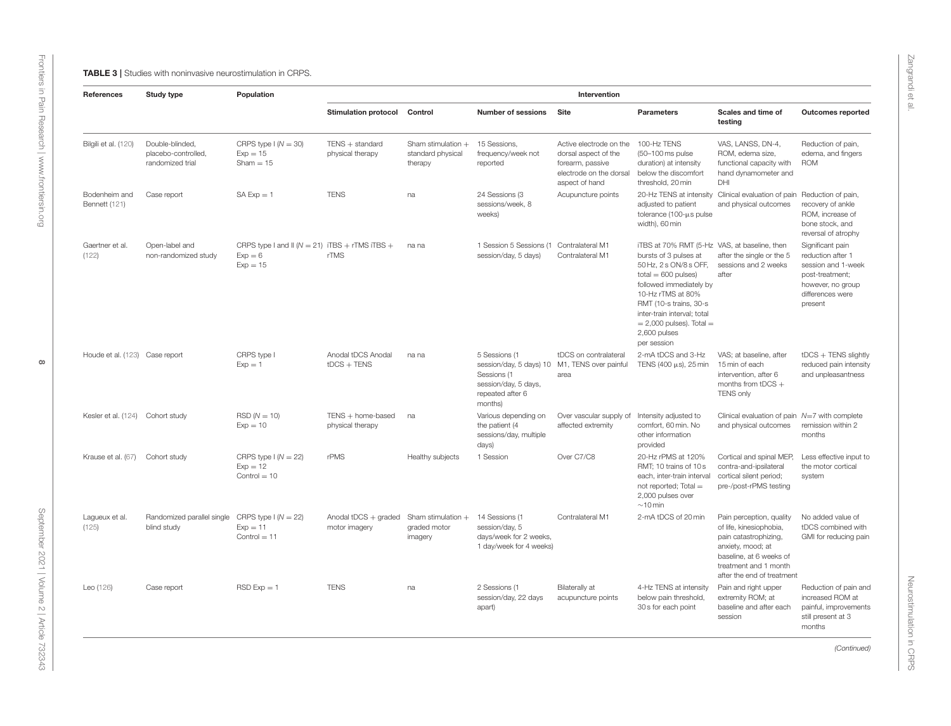<span id="page-7-0"></span>

| References                       | Study type                                                 | Population                                                                    | Intervention                          |                                                      |                                                                                                                                      |                                                                                                                  |                                                                                                                                                                                                                                                                                                  |                                                                                                                                                                                     |                                                                                                                                    |  |
|----------------------------------|------------------------------------------------------------|-------------------------------------------------------------------------------|---------------------------------------|------------------------------------------------------|--------------------------------------------------------------------------------------------------------------------------------------|------------------------------------------------------------------------------------------------------------------|--------------------------------------------------------------------------------------------------------------------------------------------------------------------------------------------------------------------------------------------------------------------------------------------------|-------------------------------------------------------------------------------------------------------------------------------------------------------------------------------------|------------------------------------------------------------------------------------------------------------------------------------|--|
|                                  |                                                            |                                                                               | Stimulation protocol Control          |                                                      | <b>Number of sessions</b>                                                                                                            | Site                                                                                                             | Parameters                                                                                                                                                                                                                                                                                       | Scales and time of<br>testing                                                                                                                                                       | <b>Outcomes reported</b>                                                                                                           |  |
| Bilgili et al. (120)             | Double-blinded.<br>placebo-controlled,<br>randomized trial | CRPS type $1(N = 30)$<br>$Exp = 15$<br>$Sham = 15$                            | $TENS + standard$<br>physical therapy | Sham stimulation $+$<br>standard physical<br>therapy | 15 Sessions.<br>frequency/week not<br>reported                                                                                       | Active electrode on the<br>dorsal aspect of the<br>forearm, passive<br>electrode on the dorsal<br>aspect of hand | 100-Hz TENS<br>(50-100 ms pulse)<br>duration) at intensity<br>below the discomfort<br>threshold, 20 min                                                                                                                                                                                          | VAS, LANSS, DN-4,<br>ROM, edema size,<br>functional capacity with<br>hand dynamometer and<br>DHI                                                                                    | Reduction of pain,<br>edema, and fingers<br><b>ROM</b>                                                                             |  |
| Bodenheim and<br>Bennett (121)   | Case report                                                | $SA Exp = 1$                                                                  | <b>TENS</b>                           | na                                                   | 24 Sessions (3<br>sessions/week, 8<br>weeks)                                                                                         | Acupuncture points                                                                                               | adjusted to patient<br>tolerance (100-µs pulse<br>width), 60 min                                                                                                                                                                                                                                 | 20-Hz TENS at intensity Clinical evaluation of pain Reduction of pain,<br>and physical outcomes                                                                                     | recovery of ankle<br>ROM, increase of<br>bone stock, and<br>reversal of atrophy                                                    |  |
| Gaertner et al.<br>(122)         | Open-label and<br>non-randomized study                     | CRPS type I and II ( $N = 21$ ) iTBS + rTMS iTBS +<br>$Exp = 6$<br>$Exp = 15$ | rTMS                                  | na na                                                | 1 Session 5 Sessions (1<br>session/day, 5 days)                                                                                      | Contralateral M1<br>Contralateral M1                                                                             | iTBS at 70% RMT (5-Hz VAS, at baseline, then<br>bursts of 3 pulses at<br>50 Hz, 2 s ON/8 s OFF,<br>$total = 600$ pulses)<br>followed immediately by<br>10-Hz rTMS at 80%<br>RMT (10-s trains, 30-s<br>inter-train interval; total<br>$= 2,000$ pulses). Total $=$<br>2,600 pulses<br>per session | after the single or the 5<br>sessions and 2 weeks<br>after                                                                                                                          | Significant pain<br>reduction after 1<br>session and 1-week<br>post-treatment;<br>however, no group<br>differences were<br>present |  |
| Houde et al. (123) Case report   |                                                            | CRPS type I<br>$Exp = 1$                                                      | Anodal tDCS Anodal<br>$tDCS + TENS$   | na na                                                | 5 Sessions (1<br>session/day, 5 days) 10 M1, TENS over painful<br>Sessions (1<br>session/day, 5 days,<br>repeated after 6<br>months) | tDCS on contralateral<br>area                                                                                    | 2-mA tDCS and 3-Hz<br>TENS (400 $\mu$ s), 25 min                                                                                                                                                                                                                                                 | VAS; at baseline, after<br>15 min of each<br>intervention, after 6<br>months from tDCS $+$<br><b>TENS only</b>                                                                      | $tDCS + TENS$ slightly<br>reduced pain intensity<br>and unpleasantness                                                             |  |
| Kesler et al. (124) Cohort study |                                                            | $RSD (N = 10)$<br>$Exp = 10$                                                  | TENS + home-based<br>physical therapy | na                                                   | Various depending on<br>the patient (4<br>sessions/day, multiple<br>days)                                                            | Over vascular supply of<br>affected extremity                                                                    | Intensity adjusted to<br>comfort, 60 min. No<br>other information<br>provided                                                                                                                                                                                                                    | Clinical evaluation of pain $N=7$ with complete<br>and physical outcomes                                                                                                            | remission within 2<br>months                                                                                                       |  |
| Krause et al. (67)               | Cohort study                                               | CRPS type $1(N = 22)$<br>$Exp = 12$<br>$Control = 10$                         | rPMS                                  | Healthy subjects                                     | 1 Session                                                                                                                            | Over C7/C8                                                                                                       | 20-Hz rPMS at 120%<br>RMT: 10 trains of 10 s<br>each, inter-train interval<br>not reported; Total =<br>2,000 pulses over<br>$\sim$ 10 min                                                                                                                                                        | Cortical and spinal MEP,<br>contra-and-ipsilateral<br>cortical silent period;<br>pre-/post-rPMS testing                                                                             | Less effective input to<br>the motor cortical<br>system                                                                            |  |
| Lagueux et al.<br>(125)          | Randomized parallel single<br>blind study                  | CRPS type $1(N = 22)$<br>$Exp = 11$<br>$Control = 11$                         | Anodal tDCS + graded<br>motor imagery | Sham stimulation $+$<br>graded motor<br>imagery      | 14 Sessions (1<br>session/day, 5<br>days/week for 2 weeks,<br>1 day/week for 4 weeks)                                                | Contralateral M1                                                                                                 | 2-mA tDCS of 20 min                                                                                                                                                                                                                                                                              | Pain perception, quality<br>of life, kinesiophobia,<br>pain catastrophizing,<br>anxiety, mood; at<br>baseline, at 6 weeks of<br>treatment and 1 month<br>after the end of treatment | No added value of<br>tDCS combined with<br>GMI for reducing pain                                                                   |  |
| Leo (126)                        | Case report                                                | $RSD Exp = 1$                                                                 | <b>TENS</b>                           | na                                                   | 2 Sessions (1<br>session/day, 22 days<br>apart)                                                                                      | Bilaterally at<br>acupuncture points                                                                             | 4-Hz TENS at intensity<br>below pain threshold,<br>30 s for each point                                                                                                                                                                                                                           | Pain and right upper<br>extremity ROM; at<br>baseline and after each<br>session                                                                                                     | Reduction of pain and<br>increased ROM at<br>painful, improvements<br>still present at 3<br>months                                 |  |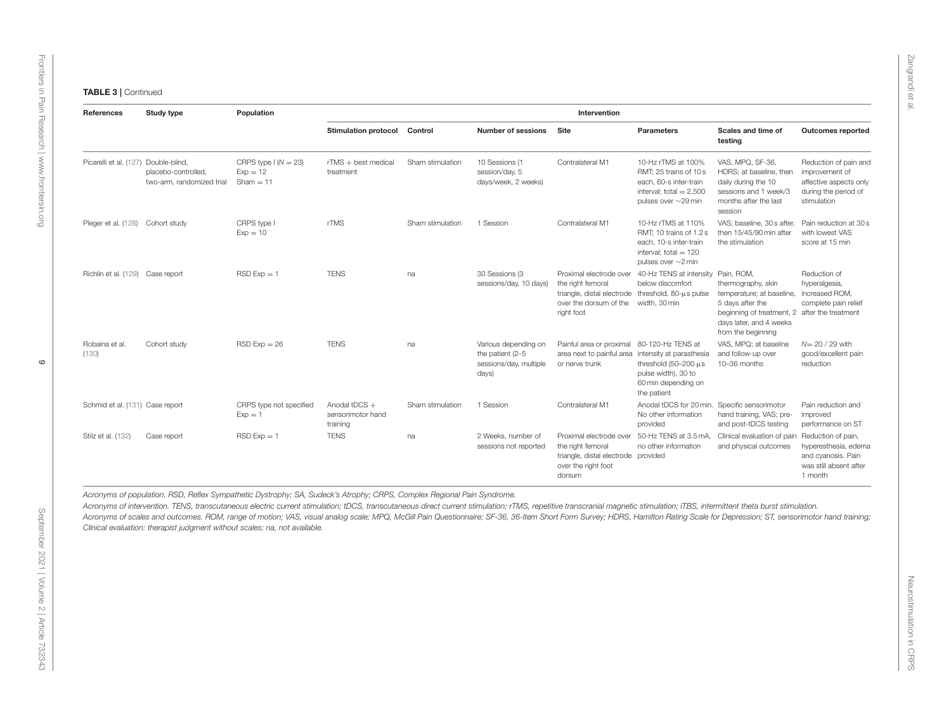| References                           | Study type                                       | Population                                         | Intervention                                     |                  |                                                                             |                                                                                                                |                                                                                                                                           |                                                                                                                                                                       |                                                                                                          |  |
|--------------------------------------|--------------------------------------------------|----------------------------------------------------|--------------------------------------------------|------------------|-----------------------------------------------------------------------------|----------------------------------------------------------------------------------------------------------------|-------------------------------------------------------------------------------------------------------------------------------------------|-----------------------------------------------------------------------------------------------------------------------------------------------------------------------|----------------------------------------------------------------------------------------------------------|--|
|                                      |                                                  |                                                    | <b>Stimulation protocol</b>                      | Control          | <b>Number of sessions</b>                                                   | Site                                                                                                           | <b>Parameters</b>                                                                                                                         | Scales and time of<br>testing                                                                                                                                         | <b>Outcomes reported</b>                                                                                 |  |
| Picarelli et al. (127) Double-blind, | placebo-controlled,<br>two-arm, randomized trial | CRPS type $1(N = 23)$<br>$Exp = 12$<br>$Sham = 11$ | $rTMS + best$ medical<br>treatment               | Sham stimulation | 10 Sessions (1<br>session/day, 5<br>days/week, 2 weeks)                     | Contralateral M1                                                                                               | 10-Hz rTMS at 100%<br>RMT; 25 trains of 10 s<br>each, 60-s inter-train<br>interval; total $= 2,500$<br>pulses over $\sim$ 29 min          | VAS, MPQ, SF-36.<br>HDRS; at baseline, then<br>daily during the 10<br>sessions and 1 week/3<br>months after the last<br>session                                       | Reduction of pain and<br>improvement of<br>affective aspects only<br>during the period of<br>stimulation |  |
| Pleger et al. (128) Cohort study     |                                                  | CRPS type I<br>$Exp = 10$                          | rTMS                                             | Sham stimulation | 1 Session                                                                   | Contralateral M1                                                                                               | 10-Hz rTMS at 110%<br>RMT; 10 trains of 1.2 s<br>each, 10-s inter-train<br>interval; total $= 120$<br>pulses over $\sim$ 2 min            | VAS; baseline, 30 s after,<br>then 15/45/90 min after<br>the stimulation                                                                                              | Pain reduction at 30 s<br>with lowest VAS<br>score at 15 min                                             |  |
| Richlin et al. (129) Case report     |                                                  | $RSD Exp = 1$                                      | <b>TENS</b>                                      | na               | 30 Sessions (3<br>sessions/day, 10 days)                                    | the right femoral<br>triangle, distal electrode threshold, 80-µs pulse<br>over the dorsum of the<br>right foot | Proximal electrode over 40-Hz TENS at intensity Pain, ROM,<br>below discomfort<br>width, 30 min                                           | thermography, skin<br>temperature; at baseline,<br>5 days after the<br>beginning of treatment, 2 after the treatment<br>days later, and 4 weeks<br>from the beginning | Reduction of<br>hyperalgesia,<br>increased ROM,<br>complete pain relief                                  |  |
| Robaina et al.<br>(130)              | Cohort study                                     | $RSD Exp = 26$                                     | <b>TENS</b>                                      | na               | Various depending on<br>the patient (2-5<br>sessions/day, multiple<br>days) | Painful area or proximal<br>area next to painful area<br>or nerve trunk                                        | 80-120-Hz TENS at<br>intensity at parasthesia<br>threshold $(50-200 \,\mu s$<br>pulse width), 30 to<br>60 min depending on<br>the patient | VAS, MPQ; at baseline<br>and follow-up over<br>10-36 months                                                                                                           | $N=20/29$ with<br>good/excellent pain<br>reduction                                                       |  |
| Schmid et al. (131) Case report      |                                                  | CRPS type not specified<br>$Exp = 1$               | Anodal $tDCS +$<br>sensorimotor hand<br>training | Sham stimulation | 1 Session                                                                   | Contralateral M1                                                                                               | Anodal tDCS for 20 min. Specific sensorimotor<br>No other information<br>provided                                                         | hand training, VAS; pre-<br>and post-tDCS testing                                                                                                                     | Pain reduction and<br>improved<br>performance on ST                                                      |  |
| Stilz et al. (132)                   | Case report                                      | $RSD Exp = 1$                                      | <b>TENS</b>                                      | na               | 2 Weeks, number of<br>sessions not reported                                 | the right femoral<br>triangle, distal electrode provided<br>over the right foot<br>dorsum                      | no other information                                                                                                                      | Proximal electrode over 50-Hz TENS at 3.5 mA, Clinical evaluation of pain Reduction of pain,<br>and physical outcomes                                                 | hyperesthesia, edema<br>and cyanosis. Pain<br>was still absent after<br>1 month                          |  |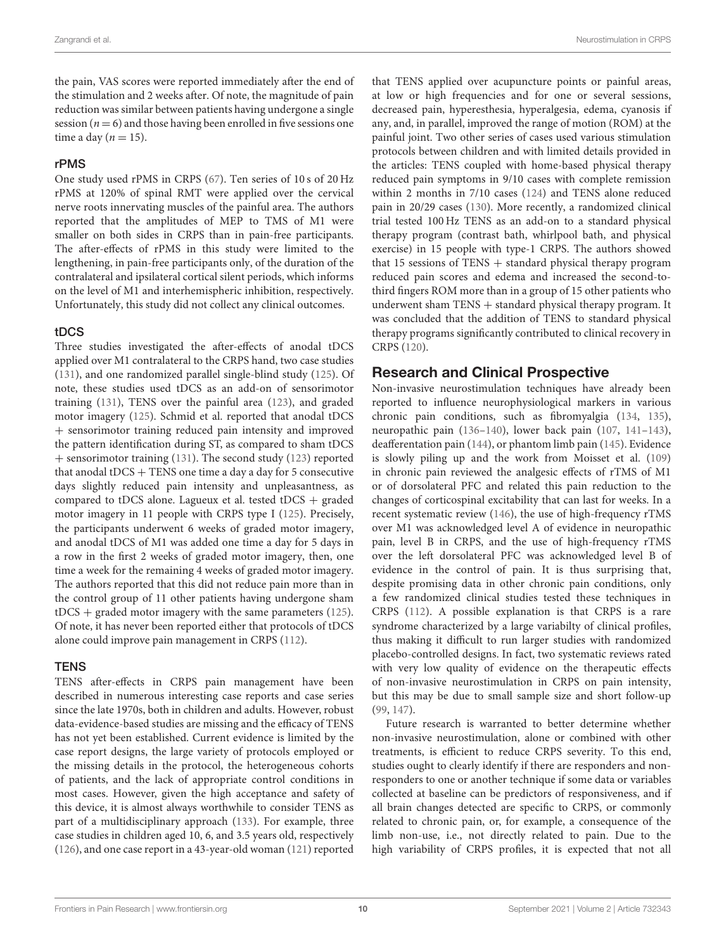the pain, VAS scores were reported immediately after the end of the stimulation and 2 weeks after. Of note, the magnitude of pain reduction was similar between patients having undergone a single session ( $n = 6$ ) and those having been enrolled in five sessions one time a day ( $n = 15$ ).

#### rPMS

One study used rPMS in CRPS [\(67\)](#page-12-3). Ten series of 10 s of 20 Hz rPMS at 120% of spinal RMT were applied over the cervical nerve roots innervating muscles of the painful area. The authors reported that the amplitudes of MEP to TMS of M1 were smaller on both sides in CRPS than in pain-free participants. The after-effects of rPMS in this study were limited to the lengthening, in pain-free participants only, of the duration of the contralateral and ipsilateral cortical silent periods, which informs on the level of M1 and interhemispheric inhibition, respectively. Unfortunately, this study did not collect any clinical outcomes.

#### tDCS

Three studies investigated the after-effects of anodal tDCS applied over M1 contralateral to the CRPS hand, two case studies [\(131\)](#page-13-30), and one randomized parallel single-blind study [\(125\)](#page-13-31). Of note, these studies used tDCS as an add-on of sensorimotor training [\(131\)](#page-13-30), TENS over the painful area [\(123\)](#page-13-32), and graded motor imagery [\(125\)](#page-13-31). Schmid et al. reported that anodal tDCS + sensorimotor training reduced pain intensity and improved the pattern identification during ST, as compared to sham tDCS + sensorimotor training [\(131\)](#page-13-30). The second study [\(123\)](#page-13-32) reported that anodal tDCS + TENS one time a day a day for 5 consecutive days slightly reduced pain intensity and unpleasantness, as compared to tDCS alone. Lagueux et al. tested tDCS  $+$  graded motor imagery in 11 people with CRPS type I [\(125\)](#page-13-31). Precisely, the participants underwent 6 weeks of graded motor imagery, and anodal tDCS of M1 was added one time a day for 5 days in a row in the first 2 weeks of graded motor imagery, then, one time a week for the remaining 4 weeks of graded motor imagery. The authors reported that this did not reduce pain more than in the control group of 11 other patients having undergone sham tDCS + graded motor imagery with the same parameters [\(125\)](#page-13-31). Of note, it has never been reported either that protocols of tDCS alone could improve pain management in CRPS [\(112\)](#page-13-7).

### **TENS**

TENS after-effects in CRPS pain management have been described in numerous interesting case reports and case series since the late 1970s, both in children and adults. However, robust data-evidence-based studies are missing and the efficacy of TENS has not yet been established. Current evidence is limited by the case report designs, the large variety of protocols employed or the missing details in the protocol, the heterogeneous cohorts of patients, and the lack of appropriate control conditions in most cases. However, given the high acceptance and safety of this device, it is almost always worthwhile to consider TENS as part of a multidisciplinary approach [\(133\)](#page-13-33). For example, three case studies in children aged 10, 6, and 3.5 years old, respectively [\(126\)](#page-13-34), and one case report in a 43-year-old woman [\(121\)](#page-13-35) reported that TENS applied over acupuncture points or painful areas, at low or high frequencies and for one or several sessions, decreased pain, hyperesthesia, hyperalgesia, edema, cyanosis if any, and, in parallel, improved the range of motion (ROM) at the painful joint. Two other series of cases used various stimulation protocols between children and with limited details provided in the articles: TENS coupled with home-based physical therapy reduced pain symptoms in 9/10 cases with complete remission within 2 months in 7/10 cases [\(124\)](#page-13-36) and TENS alone reduced pain in 20/29 cases [\(130\)](#page-13-37). More recently, a randomized clinical trial tested 100 Hz TENS as an add-on to a standard physical therapy program (contrast bath, whirlpool bath, and physical exercise) in 15 people with type-1 CRPS. The authors showed that 15 sessions of  $TENS + standard$  physical therapy program reduced pain scores and edema and increased the second-tothird fingers ROM more than in a group of 15 other patients who underwent sham TENS + standard physical therapy program. It was concluded that the addition of TENS to standard physical therapy programs significantly contributed to clinical recovery in CRPS [\(120\)](#page-13-38).

# Research and Clinical Prospective

Non-invasive neurostimulation techniques have already been reported to influence neurophysiological markers in various chronic pain conditions, such as fibromyalgia [\(134,](#page-13-39) [135\)](#page-13-40), neuropathic pain [\(136](#page-13-41)[–140\)](#page-13-42), lower back pain [\(107,](#page-13-2) [141](#page-13-43)[–143\)](#page-14-0), deafferentation pain [\(144\)](#page-14-1), or phantom limb pain [\(145\)](#page-14-2). Evidence is slowly piling up and the work from Moisset et al. [\(109\)](#page-13-4) in chronic pain reviewed the analgesic effects of rTMS of M1 or of dorsolateral PFC and related this pain reduction to the changes of corticospinal excitability that can last for weeks. In a recent systematic review [\(146\)](#page-14-3), the use of high-frequency rTMS over M1 was acknowledged level A of evidence in neuropathic pain, level B in CRPS, and the use of high-frequency rTMS over the left dorsolateral PFC was acknowledged level B of evidence in the control of pain. It is thus surprising that, despite promising data in other chronic pain conditions, only a few randomized clinical studies tested these techniques in CRPS [\(112\)](#page-13-7). A possible explanation is that CRPS is a rare syndrome characterized by a large variabilty of clinical profiles, thus making it difficult to run larger studies with randomized placebo-controlled designs. In fact, two systematic reviews rated with very low quality of evidence on the therapeutic effects of non-invasive neurostimulation in CRPS on pain intensity, but this may be due to small sample size and short follow-up [\(99,](#page-12-32) [147\)](#page-14-4).

Future research is warranted to better determine whether non-invasive neurostimulation, alone or combined with other treatments, is efficient to reduce CRPS severity. To this end, studies ought to clearly identify if there are responders and nonresponders to one or another technique if some data or variables collected at baseline can be predictors of responsiveness, and if all brain changes detected are specific to CRPS, or commonly related to chronic pain, or, for example, a consequence of the limb non-use, i.e., not directly related to pain. Due to the high variability of CRPS profiles, it is expected that not all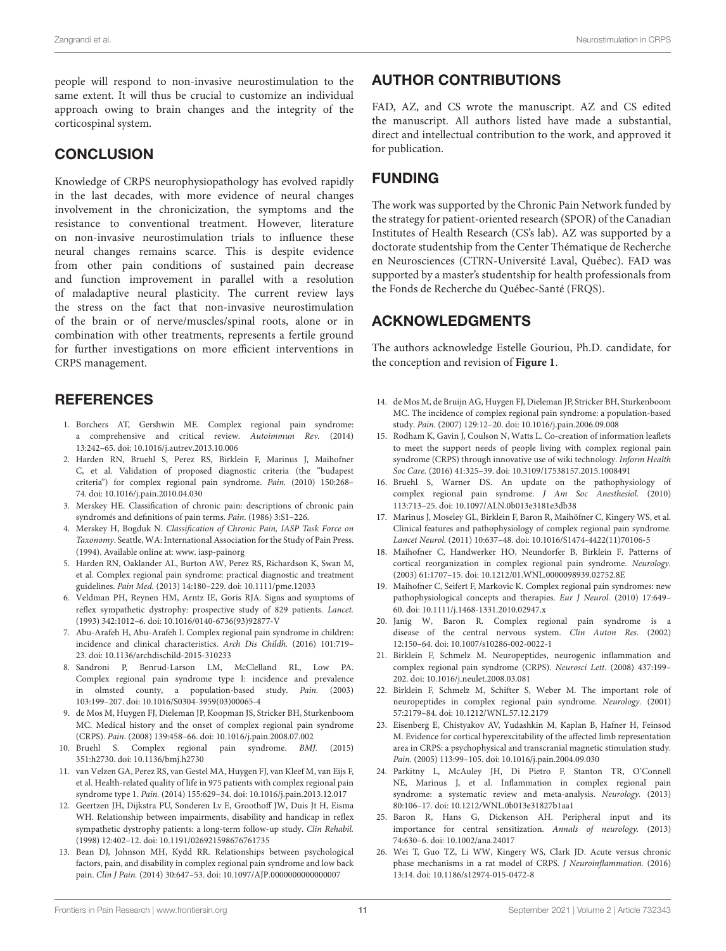people will respond to non-invasive neurostimulation to the same extent. It will thus be crucial to customize an individual approach owing to brain changes and the integrity of the corticospinal system.

# **CONCLUSION**

Knowledge of CRPS neurophysiopathology has evolved rapidly in the last decades, with more evidence of neural changes involvement in the chronicization, the symptoms and the resistance to conventional treatment. However, literature on non-invasive neurostimulation trials to influence these neural changes remains scarce. This is despite evidence from other pain conditions of sustained pain decrease and function improvement in parallel with a resolution of maladaptive neural plasticity. The current review lays the stress on the fact that non-invasive neurostimulation of the brain or of nerve/muscles/spinal roots, alone or in combination with other treatments, represents a fertile ground for further investigations on more efficient interventions in CRPS management.

# **REFERENCES**

- <span id="page-10-0"></span>1. Borchers AT, Gershwin ME. Complex regional pain syndrome: a comprehensive and critical review. Autoimmun Rev. (2014) 13:242–65. doi: [10.1016/j.autrev.2013.10.006](https://doi.org/10.1016/j.autrev.2013.10.006)
- <span id="page-10-1"></span>2. Harden RN, Bruehl S, Perez RS, Birklein F, Marinus J, Maihofner C, et al. Validation of proposed diagnostic criteria (the "budapest criteria") for complex regional pain syndrome. Pain. (2010) 150:268– 74. doi: [10.1016/j.pain.2010.04.030](https://doi.org/10.1016/j.pain.2010.04.030)
- <span id="page-10-2"></span>3. Merskey HE. Classification of chronic pain: descriptions of chronic pain syndromés and definitions of pain terms. Pain. (1986) 3:S1–226.
- <span id="page-10-3"></span>4. Merskey H, Bogduk N. Classification of Chronic Pain, IASP Task Force on Taxonomy. Seattle, WA: International Association for the Study of Pain Press. (1994). Available online at: www. iasp-painorg
- <span id="page-10-4"></span>5. Harden RN, Oaklander AL, Burton AW, Perez RS, Richardson K, Swan M, et al. Complex regional pain syndrome: practical diagnostic and treatment guidelines. Pain Med. (2013) 14:180–229. doi: [10.1111/pme.12033](https://doi.org/10.1111/pme.12033)
- <span id="page-10-5"></span>6. Veldman PH, Reynen HM, Arntz IE, Goris RJA. Signs and symptoms of reflex sympathetic dystrophy: prospective study of 829 patients. Lancet. (1993) 342:1012–6. doi: [10.1016/0140-6736\(93\)92877-V](https://doi.org/10.1016/0140-6736(93)92877-V)
- <span id="page-10-6"></span>7. Abu-Arafeh H, Abu-Arafeh I. Complex regional pain syndrome in children: incidence and clinical characteristics. Arch Dis Childh. (2016) 101:719– 23. doi: [10.1136/archdischild-2015-310233](https://doi.org/10.1136/archdischild-2015-310233)
- <span id="page-10-7"></span>8. Sandroni P, Benrud-Larson LM, McClelland RL, Low PA. Complex regional pain syndrome type I: incidence and prevalence in olmsted county, a population-based study. Pain. (2003) 103:199–207. doi: [10.1016/S0304-3959\(03\)00065-4](https://doi.org/10.1016/S0304-3959(03)00065-4)
- <span id="page-10-8"></span>9. de Mos M, Huygen FJ, Dieleman JP, Koopman JS, Stricker BH, Sturkenboom MC. Medical history and the onset of complex regional pain syndrome (CRPS). Pain. (2008) 139:458–66. doi: [10.1016/j.pain.2008.07.002](https://doi.org/10.1016/j.pain.2008.07.002)
- <span id="page-10-9"></span>10. Bruehl S. Complex regional pain syndrome. BMJ. (2015) 351:h2730. doi: [10.1136/bmj.h2730](https://doi.org/10.1136/bmj.h2730)
- <span id="page-10-10"></span>11. van Velzen GA, Perez RS, van Gestel MA, Huygen FJ, van Kleef M, van Eijs F, et al. Health-related quality of life in 975 patients with complex regional pain syndrome type 1. Pain. (2014) 155:629–34. doi: [10.1016/j.pain.2013.12.017](https://doi.org/10.1016/j.pain.2013.12.017)
- 12. Geertzen JH, Dijkstra PU, Sonderen Lv E, Groothoff JW, Duis Jt H, Eisma WH. Relationship between impairments, disability and handicap in reflex sympathetic dystrophy patients: a long-term follow-up study. Clin Rehabil. (1998) 12:402–12. doi: [10.1191/026921598676761735](https://doi.org/10.1191/026921598676761735)
- <span id="page-10-22"></span>13. Bean DJ, Johnson MH, Kydd RR. Relationships between psychological factors, pain, and disability in complex regional pain syndrome and low back pain. Clin J Pain. (2014) 30:647–53. doi: [10.1097/AJP.0000000000000007](https://doi.org/10.1097/AJP.0000000000000007)

# AUTHOR CONTRIBUTIONS

FAD, AZ, and CS wrote the manuscript. AZ and CS edited the manuscript. All authors listed have made a substantial, direct and intellectual contribution to the work, and approved it for publication.

# FUNDING

The work was supported by the Chronic Pain Network funded by the strategy for patient-oriented research (SPOR) of the Canadian Institutes of Health Research (CS's lab). AZ was supported by a doctorate studentship from the Center Thématique de Recherche en Neurosciences (CTRN-Université Laval, Québec). FAD was supported by a master's studentship for health professionals from the Fonds de Recherche du Québec-Santé (FRQS).

# ACKNOWLEDGMENTS

The authors acknowledge Estelle Gouriou, Ph.D. candidate, for the conception and revision of **[Figure 1](#page-3-0)**.

- 14. de Mos M, de Bruijn AG, Huygen FJ, Dieleman JP, Stricker BH, Sturkenboom MC. The incidence of complex regional pain syndrome: a population-based study. Pain. (2007) 129:12–20. doi: [10.1016/j.pain.2006.09.008](https://doi.org/10.1016/j.pain.2006.09.008)
- <span id="page-10-11"></span>15. Rodham K, Gavin J, Coulson N, Watts L. Co-creation of information leaflets to meet the support needs of people living with complex regional pain syndrome (CRPS) through innovative use of wiki technology. Inform Health Soc Care. (2016) 41:325–39. doi: [10.3109/17538157.2015.1008491](https://doi.org/10.3109/17538157.2015.1008491)
- <span id="page-10-12"></span>16. Bruehl S, Warner DS. An update on the pathophysiology of complex regional pain syndrome. J Am Soc Anesthesiol. (2010) 113:713–25. doi: [10.1097/ALN.0b013e3181e3db38](https://doi.org/10.1097/ALN.0b013e3181e3db38)
- <span id="page-10-13"></span>17. Marinus J, Moseley GL, Birklein F, Baron R, Maihöfner C, Kingery WS, et al. Clinical features and pathophysiology of complex regional pain syndrome. Lancet Neurol. (2011) 10:637–48. doi: [10.1016/S1474-4422\(11\)70106-5](https://doi.org/10.1016/S1474-4422(11)70106-5)
- <span id="page-10-14"></span>18. Maihofner C, Handwerker HO, Neundorfer B, Birklein F. Patterns of cortical reorganization in complex regional pain syndrome. Neurology. (2003) 61:1707–15. doi: [10.1212/01.WNL.0000098939.02752.8E](https://doi.org/10.1212/01.WNL.0000098939.02752.8E)
- 19. Maihofner C, Seifert F, Markovic K. Complex regional pain syndromes: new pathophysiological concepts and therapies. Eur J Neurol. (2010) 17:649– 60. doi: [10.1111/j.1468-1331.2010.02947.x](https://doi.org/10.1111/j.1468-1331.2010.02947.x)
- <span id="page-10-15"></span>20. Janig W, Baron R. Complex regional pain syndrome is a disease of the central nervous system. Clin Auton Res. (2002) 12:150–64. doi: [10.1007/s10286-002-0022-1](https://doi.org/10.1007/s10286-002-0022-1)
- <span id="page-10-16"></span>21. Birklein F, Schmelz M. Neuropeptides, neurogenic inflammation and complex regional pain syndrome (CRPS). Neurosci Lett. (2008) 437:199– 202. doi: [10.1016/j.neulet.2008.03.081](https://doi.org/10.1016/j.neulet.2008.03.081)
- <span id="page-10-17"></span>22. Birklein F, Schmelz M, Schifter S, Weber M. The important role of neuropeptides in complex regional pain syndrome. Neurology. (2001) 57:2179–84. doi: [10.1212/WNL.57.12.2179](https://doi.org/10.1212/WNL.57.12.2179)
- <span id="page-10-18"></span>23. Eisenberg E, Chistyakov AV, Yudashkin M, Kaplan B, Hafner H, Feinsod M. Evidence for cortical hyperexcitability of the affected limb representation area in CRPS: a psychophysical and transcranial magnetic stimulation study. Pain. (2005) 113:99–105. doi: [10.1016/j.pain.2004.09.030](https://doi.org/10.1016/j.pain.2004.09.030)
- <span id="page-10-19"></span>24. Parkitny L, McAuley JH, Di Pietro F, Stanton TR, O'Connell NE, Marinus J, et al. Inflammation in complex regional pain syndrome: a systematic review and meta-analysis. Neurology. (2013) 80:106–17. doi: [10.1212/WNL.0b013e31827b1aa1](https://doi.org/10.1212/WNL.0b013e31827b1aa1)
- <span id="page-10-20"></span>25. Baron R, Hans G, Dickenson AH. Peripheral input and its importance for central sensitization. Annals of neurology. (2013) 74:630–6. doi: [10.1002/ana.24017](https://doi.org/10.1002/ana.24017)
- <span id="page-10-21"></span>26. Wei T, Guo TZ, Li WW, Kingery WS, Clark JD. Acute versus chronic phase mechanisms in a rat model of CRPS. J Neuroinflammation. (2016) 13:14. doi: [10.1186/s12974-015-0472-8](https://doi.org/10.1186/s12974-015-0472-8)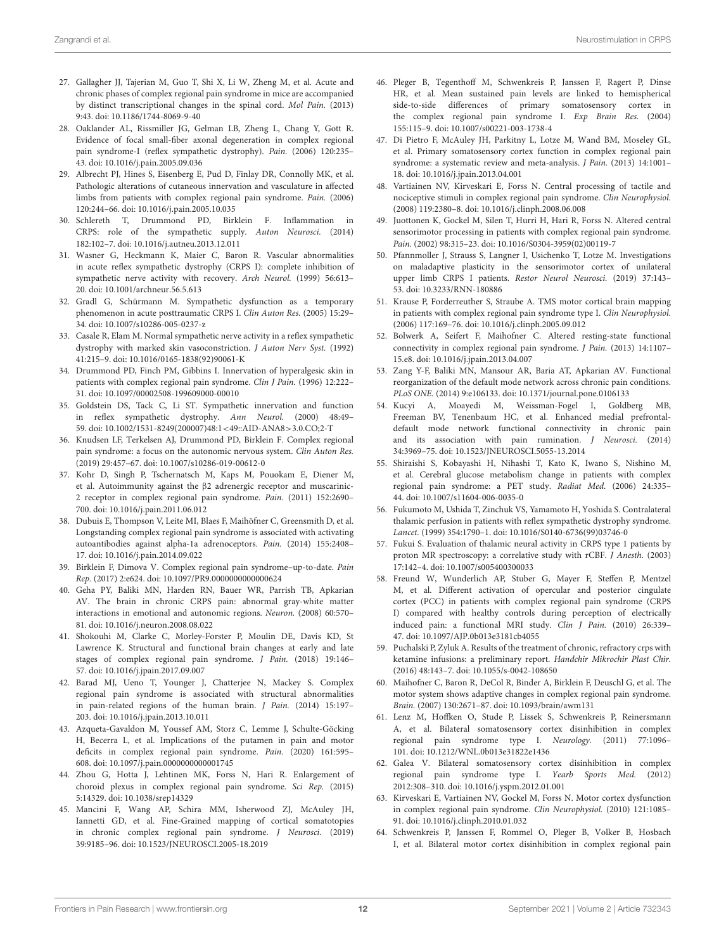- <span id="page-11-0"></span>27. Gallagher JJ, Tajerian M, Guo T, Shi X, Li W, Zheng M, et al. Acute and chronic phases of complex regional pain syndrome in mice are accompanied by distinct transcriptional changes in the spinal cord. Mol Pain. (2013) 9:43. doi: [10.1186/1744-8069-9-40](https://doi.org/10.1186/1744-8069-9-40)
- <span id="page-11-1"></span>28. Oaklander AL, Rissmiller JG, Gelman LB, Zheng L, Chang Y, Gott R. Evidence of focal small-fiber axonal degeneration in complex regional pain syndrome-I (reflex sympathetic dystrophy). Pain. (2006) 120:235– 43. doi: [10.1016/j.pain.2005.09.036](https://doi.org/10.1016/j.pain.2005.09.036)
- <span id="page-11-2"></span>29. Albrecht PJ, Hines S, Eisenberg E, Pud D, Finlay DR, Connolly MK, et al. Pathologic alterations of cutaneous innervation and vasculature in affected limbs from patients with complex regional pain syndrome. Pain. (2006) 120:244–66. doi: [10.1016/j.pain.2005.10.035](https://doi.org/10.1016/j.pain.2005.10.035)
- <span id="page-11-3"></span>30. Schlereth T, Drummond PD, Birklein F. Inflammation in CRPS: role of the sympathetic supply. Auton Neurosci. (2014) 182:102–7. doi: [10.1016/j.autneu.2013.12.011](https://doi.org/10.1016/j.autneu.2013.12.011)
- <span id="page-11-4"></span>31. Wasner G, Heckmann K, Maier C, Baron R. Vascular abnormalities in acute reflex sympathetic dystrophy (CRPS I): complete inhibition of sympathetic nerve activity with recovery. Arch Neurol. (1999) 56:613– 20. doi: [10.1001/archneur.56.5.613](https://doi.org/10.1001/archneur.56.5.613)
- <span id="page-11-5"></span>32. Gradl G, Schürmann M. Sympathetic dysfunction as a temporary phenomenon in acute posttraumatic CRPS I. Clin Auton Res. (2005) 15:29– 34. doi: [10.1007/s10286-005-0237-z](https://doi.org/10.1007/s10286-005-0237-z)
- <span id="page-11-6"></span>33. Casale R, Elam M. Normal sympathetic nerve activity in a reflex sympathetic dystrophy with marked skin vasoconstriction. J Auton Nerv Syst. (1992) 41:215–9. doi: [10.1016/0165-1838\(92\)90061-K](https://doi.org/10.1016/0165-1838(92)90061-K)
- 34. Drummond PD, Finch PM, Gibbins I. Innervation of hyperalgesic skin in patients with complex regional pain syndrome. Clin J Pain. (1996) 12:222– 31. doi: [10.1097/00002508-199609000-00010](https://doi.org/10.1097/00002508-199609000-00010)
- <span id="page-11-7"></span>35. Goldstein DS, Tack C, Li ST. Sympathetic innervation and function in reflex sympathetic dystrophy. Ann Neurol. (2000) 48:49– 59. doi: [10.1002/1531-8249\(200007\)48:1](https://doi.org/10.1002/1531-8249(200007)48:1$<$49::AID-ANA8$>$3.0.CO)<49::AID-ANA8>3.0.CO;2-T
- <span id="page-11-8"></span>36. Knudsen LF, Terkelsen AJ, Drummond PD, Birklein F. Complex regional pain syndrome: a focus on the autonomic nervous system. Clin Auton Res. (2019) 29:457–67. doi: [10.1007/s10286-019-00612-0](https://doi.org/10.1007/s10286-019-00612-0)
- <span id="page-11-9"></span>37. Kohr D, Singh P, Tschernatsch M, Kaps M, Pouokam E, Diener M, et al. Autoimmunity against the β2 adrenergic receptor and muscarinic-2 receptor in complex regional pain syndrome. Pain. (2011) 152:2690– 700. doi: [10.1016/j.pain.2011.06.012](https://doi.org/10.1016/j.pain.2011.06.012)
- 38. Dubuis E, Thompson V, Leite MI, Blaes F, Maihöfner C, Greensmith D, et al. Longstanding complex regional pain syndrome is associated with activating autoantibodies against alpha-1a adrenoceptors. Pain. (2014) 155:2408– 17. doi: [10.1016/j.pain.2014.09.022](https://doi.org/10.1016/j.pain.2014.09.022)
- <span id="page-11-10"></span>39. Birklein F, Dimova V. Complex regional pain syndrome–up-to-date. Pain Rep. (2017) 2:e624. doi: [10.1097/PR9.0000000000000624](https://doi.org/10.1097/PR9.0000000000000624)
- <span id="page-11-11"></span>40. Geha PY, Baliki MN, Harden RN, Bauer WR, Parrish TB, Apkarian AV. The brain in chronic CRPS pain: abnormal gray-white matter interactions in emotional and autonomic regions. Neuron. (2008) 60:570– 81. doi: [10.1016/j.neuron.2008.08.022](https://doi.org/10.1016/j.neuron.2008.08.022)
- <span id="page-11-19"></span>41. Shokouhi M, Clarke C, Morley-Forster P, Moulin DE, Davis KD, St Lawrence K. Structural and functional brain changes at early and late stages of complex regional pain syndrome. J Pain. (2018) 19:146– 57. doi: [10.1016/j.jpain.2017.09.007](https://doi.org/10.1016/j.jpain.2017.09.007)
- <span id="page-11-13"></span>42. Barad MJ, Ueno T, Younger J, Chatterjee N, Mackey S. Complex regional pain syndrome is associated with structural abnormalities in pain-related regions of the human brain. J Pain. (2014) 15:197– 203. doi: [10.1016/j.jpain.2013.10.011](https://doi.org/10.1016/j.jpain.2013.10.011)
- <span id="page-11-12"></span>43. Azqueta-Gavaldon M, Youssef AM, Storz C, Lemme J, Schulte-Göcking H, Becerra L, et al. Implications of the putamen in pain and motor deficits in complex regional pain syndrome. Pain. (2020) 161:595– 608. doi: [10.1097/j.pain.0000000000001745](https://doi.org/10.1097/j.pain.0000000000001745)
- <span id="page-11-14"></span>44. Zhou G, Hotta J, Lehtinen MK, Forss N, Hari R. Enlargement of choroid plexus in complex regional pain syndrome. Sci Rep. (2015) 5:14329. doi: [10.1038/srep14329](https://doi.org/10.1038/srep14329)
- <span id="page-11-15"></span>45. Mancini F, Wang AP, Schira MM, Isherwood ZJ, McAuley JH, Iannetti GD, et al. Fine-Grained mapping of cortical somatotopies in chronic complex regional pain syndrome. J Neurosci. (2019) 39:9185–96. doi: [10.1523/JNEUROSCI.2005-18.2019](https://doi.org/10.1523/JNEUROSCI.2005-18.2019)
- <span id="page-11-29"></span>46. Pleger B, Tegenthoff M, Schwenkreis P, Janssen F, Ragert P, Dinse HR, et al. Mean sustained pain levels are linked to hemispherical side-to-side differences of primary somatosensory cortex in the complex regional pain syndrome I. Exp Brain Res. (2004) 155:115–9. doi: [10.1007/s00221-003-1738-4](https://doi.org/10.1007/s00221-003-1738-4)
- 47. Di Pietro F, McAuley JH, Parkitny L, Lotze M, Wand BM, Moseley GL, et al. Primary somatosensory cortex function in complex regional pain syndrome: a systematic review and meta-analysis. J Pain. (2013) 14:1001– 18. doi: [10.1016/j.jpain.2013.04.001](https://doi.org/10.1016/j.jpain.2013.04.001)
- <span id="page-11-30"></span>48. Vartiainen NV, Kirveskari E, Forss N. Central processing of tactile and nociceptive stimuli in complex regional pain syndrome. Clin Neurophysiol. (2008) 119:2380–8. doi: [10.1016/j.clinph.2008.06.008](https://doi.org/10.1016/j.clinph.2008.06.008)
- <span id="page-11-26"></span>49. Juottonen K, Gockel M, Silen T, Hurri H, Hari R, Forss N. Altered central sensorimotor processing in patients with complex regional pain syndrome. Pain. (2002) 98:315–23. doi: [10.1016/S0304-3959\(02\)00119-7](https://doi.org/10.1016/S0304-3959(02)00119-7)
- <span id="page-11-32"></span>50. Pfannmoller J, Strauss S, Langner I, Usichenko T, Lotze M. Investigations on maladaptive plasticity in the sensorimotor cortex of unilateral upper limb CRPS I patients. Restor Neurol Neurosci. (2019) 37:143-53. doi: [10.3233/RNN-180886](https://doi.org/10.3233/RNN-180886)
- <span id="page-11-16"></span>51. Krause P, Forderreuther S, Straube A. TMS motor cortical brain mapping in patients with complex regional pain syndrome type I. Clin Neurophysiol. (2006) 117:169–76. doi: [10.1016/j.clinph.2005.09.012](https://doi.org/10.1016/j.clinph.2005.09.012)
- <span id="page-11-17"></span>52. Bolwerk A, Seifert F, Maihofner C. Altered resting-state functional connectivity in complex regional pain syndrome. J Pain. (2013) 14:1107– 15.e8. doi: [10.1016/j.jpain.2013.04.007](https://doi.org/10.1016/j.jpain.2013.04.007)
- 53. Zang Y-F, Baliki MN, Mansour AR, Baria AT, Apkarian AV. Functional reorganization of the default mode network across chronic pain conditions. PLoS ONE. (2014) 9:e106133. doi: [10.1371/journal.pone.0106133](https://doi.org/10.1371/journal.pone.0106133)
- <span id="page-11-18"></span>54. Kucyi A, Moayedi M, Weissman-Fogel I, Goldberg MB, Freeman BV, Tenenbaum HC, et al. Enhanced medial prefrontaldefault mode network functional connectivity in chronic pain and its association with pain rumination. J Neurosci. (2014) 34:3969–75. doi: [10.1523/JNEUROSCI.5055-13.2014](https://doi.org/10.1523/JNEUROSCI.5055-13.2014)
- <span id="page-11-20"></span>55. Shiraishi S, Kobayashi H, Nihashi T, Kato K, Iwano S, Nishino M, et al. Cerebral glucose metabolism change in patients with complex regional pain syndrome: a PET study. Radiat Med. (2006) 24:335– 44. doi: [10.1007/s11604-006-0035-0](https://doi.org/10.1007/s11604-006-0035-0)
- <span id="page-11-21"></span>56. Fukumoto M, Ushida T, Zinchuk VS, Yamamoto H, Yoshida S. Contralateral thalamic perfusion in patients with reflex sympathetic dystrophy syndrome. Lancet. (1999) 354:1790–1. doi: [10.1016/S0140-6736\(99\)03746-0](https://doi.org/10.1016/S0140-6736(99)03746-0)
- <span id="page-11-22"></span>57. Fukui S. Evaluation of thalamic neural activity in CRPS type 1 patients by proton MR spectroscopy: a correlative study with rCBF. J Anesth. (2003) 17:142–4. doi: [10.1007/s005400300033](https://doi.org/10.1007/s005400300033)
- <span id="page-11-23"></span>58. Freund W, Wunderlich AP, Stuber G, Mayer F, Steffen P, Mentzel M, et al. Different activation of opercular and posterior cingulate cortex (PCC) in patients with complex regional pain syndrome (CRPS I) compared with healthy controls during perception of electrically induced pain: a functional MRI study. Clin J Pain. (2010) 26:339– 47. doi: [10.1097/AJP.0b013e3181cb4055](https://doi.org/10.1097/AJP.0b013e3181cb4055)
- <span id="page-11-24"></span>59. Puchalski P, Zyluk A. Results of the treatment of chronic, refractory crps with ketamine infusions: a preliminary report. Handchir Mikrochir Plast Chir. (2016) 48:143–7. doi: [10.1055/s-0042-108650](https://doi.org/10.1055/s-0042-108650)
- <span id="page-11-25"></span>60. Maihofner C, Baron R, DeCol R, Binder A, Birklein F, Deuschl G, et al. The motor system shows adaptive changes in complex regional pain syndrome. Brain. (2007) 130:2671–87. doi: [10.1093/brain/awm131](https://doi.org/10.1093/brain/awm131)
- <span id="page-11-27"></span>61. Lenz M, Hoffken O, Stude P, Lissek S, Schwenkreis P, Reinersmann A, et al. Bilateral somatosensory cortex disinhibition in complex regional pain syndrome type I. Neurology. (2011) 77:1096– 101. doi: [10.1212/WNL.0b013e31822e1436](https://doi.org/10.1212/WNL.0b013e31822e1436)
- <span id="page-11-28"></span>62. Galea V. Bilateral somatosensory cortex disinhibition in complex regional pain syndrome type I. Yearb Sports Med. (2012) 2012:308–310. doi: [10.1016/j.yspm.2012.01.001](https://doi.org/10.1016/j.yspm.2012.01.001)
- <span id="page-11-31"></span>63. Kirveskari E, Vartiainen NV, Gockel M, Forss N. Motor cortex dysfunction in complex regional pain syndrome. Clin Neurophysiol. (2010) 121:1085– 91. doi: [10.1016/j.clinph.2010.01.032](https://doi.org/10.1016/j.clinph.2010.01.032)
- <span id="page-11-33"></span>64. Schwenkreis P, Janssen F, Rommel O, Pleger B, Volker B, Hosbach I, et al. Bilateral motor cortex disinhibition in complex regional pain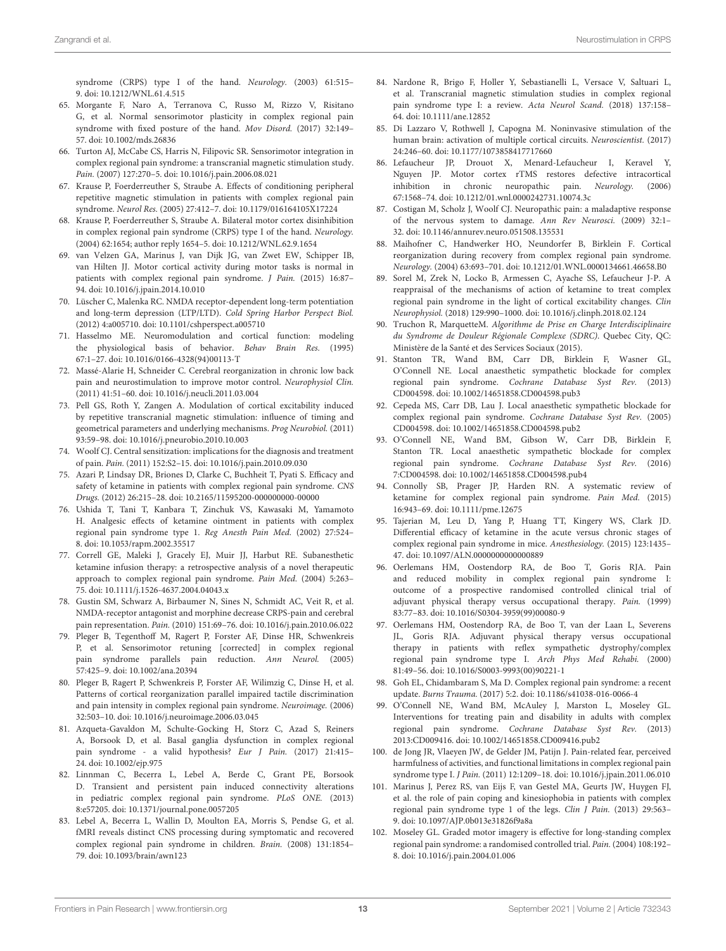syndrome (CRPS) type I of the hand. Neurology. (2003) 61:515– 9. doi: [10.1212/WNL.61.4.515](https://doi.org/10.1212/WNL.61.4.515)

- <span id="page-12-1"></span>65. Morgante F, Naro A, Terranova C, Russo M, Rizzo V, Risitano G, et al. Normal sensorimotor plasticity in complex regional pain syndrome with fixed posture of the hand. Mov Disord. (2017) 32:149– 57. doi: [10.1002/mds.26836](https://doi.org/10.1002/mds.26836)
- <span id="page-12-2"></span>66. Turton AJ, McCabe CS, Harris N, Filipovic SR. Sensorimotor integration in complex regional pain syndrome: a transcranial magnetic stimulation study. Pain. (2007) 127:270–5. doi: [10.1016/j.pain.2006.08.021](https://doi.org/10.1016/j.pain.2006.08.021)
- <span id="page-12-3"></span>67. Krause P, Foerderreuther S, Straube A. Effects of conditioning peripheral repetitive magnetic stimulation in patients with complex regional pain syndrome. Neurol Res. (2005) 27:412–7. doi: [10.1179/016164105X17224](https://doi.org/10.1179/016164105X17224)
- <span id="page-12-4"></span>68. Krause P, Foerderreuther S, Straube A. Bilateral motor cortex disinhibition in complex regional pain syndrome (CRPS) type I of the hand. Neurology. (2004) 62:1654; author reply 1654–5. doi: [10.1212/WNL.62.9.1654](https://doi.org/10.1212/WNL.62.9.1654)
- <span id="page-12-5"></span>69. van Velzen GA, Marinus J, van Dijk JG, van Zwet EW, Schipper IB, van Hilten JJ. Motor cortical activity during motor tasks is normal in patients with complex regional pain syndrome. J Pain. (2015) 16:87– 94. doi: [10.1016/j.jpain.2014.10.010](https://doi.org/10.1016/j.jpain.2014.10.010)
- <span id="page-12-0"></span>70. Lüscher C, Malenka RC. NMDA receptor-dependent long-term potentiation and long-term depression (LTP/LTD). Cold Spring Harbor Perspect Biol. (2012) 4:a005710. doi: [10.1101/cshperspect.a005710](https://doi.org/10.1101/cshperspect.a005710)
- <span id="page-12-6"></span>71. Hasselmo ME. Neuromodulation and cortical function: modeling the physiological basis of behavior. Behav Brain Res. (1995) 67:1–27. doi: [10.1016/0166-4328\(94\)00113-T](https://doi.org/10.1016/0166-4328(94)00113-T)
- <span id="page-12-36"></span>72. Massé-Alarie H, Schneider C. Cerebral reorganization in chronic low back pain and neurostimulation to improve motor control. Neurophysiol Clin. (2011) 41:51–60. doi: [10.1016/j.neucli.2011.03.004](https://doi.org/10.1016/j.neucli.2011.03.004)
- <span id="page-12-7"></span>73. Pell GS, Roth Y, Zangen A. Modulation of cortical excitability induced by repetitive transcranial magnetic stimulation: influence of timing and geometrical parameters and underlying mechanisms. Prog Neurobiol. (2011) 93:59–98. doi: [10.1016/j.pneurobio.2010.10.003](https://doi.org/10.1016/j.pneurobio.2010.10.003)
- <span id="page-12-8"></span>74. Woolf CJ. Central sensitization: implications for the diagnosis and treatment of pain. Pain. (2011) 152:S2–15. doi: [10.1016/j.pain.2010.09.030](https://doi.org/10.1016/j.pain.2010.09.030)
- <span id="page-12-9"></span>75. Azari P, Lindsay DR, Briones D, Clarke C, Buchheit T, Pyati S. Efficacy and safety of ketamine in patients with complex regional pain syndrome. CNS Drugs. (2012) 26:215–28. doi: [10.2165/11595200-000000000-00000](https://doi.org/10.2165/11595200-000000000-00000)
- <span id="page-12-26"></span>76. Ushida T, Tani T, Kanbara T, Zinchuk VS, Kawasaki M, Yamamoto H. Analgesic effects of ketamine ointment in patients with complex regional pain syndrome type 1. Reg Anesth Pain Med. (2002) 27:524– 8. doi: [10.1053/rapm.2002.35517](https://doi.org/10.1053/rapm.2002.35517)
- <span id="page-12-10"></span>77. Correll GE, Maleki J, Gracely EJ, Muir JJ, Harbut RE. Subanesthetic ketamine infusion therapy: a retrospective analysis of a novel therapeutic approach to complex regional pain syndrome. Pain Med. (2004) 5:263– 75. doi: [10.1111/j.1526-4637.2004.04043.x](https://doi.org/10.1111/j.1526-4637.2004.04043.x)
- <span id="page-12-11"></span>78. Gustin SM, Schwarz A, Birbaumer N, Sines N, Schmidt AC, Veit R, et al. NMDA-receptor antagonist and morphine decrease CRPS-pain and cerebral pain representation. Pain. (2010) 151:69–76. doi: [10.1016/j.pain.2010.06.022](https://doi.org/10.1016/j.pain.2010.06.022)
- <span id="page-12-12"></span>79. Pleger B, Tegenthoff M, Ragert P, Forster AF, Dinse HR, Schwenkreis P, et al. Sensorimotor retuning [corrected] in complex regional pain syndrome parallels pain reduction. Ann Neurol. (2005) 57:425–9. doi: [10.1002/ana.20394](https://doi.org/10.1002/ana.20394)
- <span id="page-12-13"></span>80. Pleger B, Ragert P, Schwenkreis P, Forster AF, Wilimzig C, Dinse H, et al. Patterns of cortical reorganization parallel impaired tactile discrimination and pain intensity in complex regional pain syndrome. Neuroimage. (2006) 32:503–10. doi: [10.1016/j.neuroimage.2006.03.045](https://doi.org/10.1016/j.neuroimage.2006.03.045)
- <span id="page-12-14"></span>81. Azqueta-Gavaldon M, Schulte-Gocking H, Storz C, Azad S, Reiners A, Borsook D, et al. Basal ganglia dysfunction in complex regional pain syndrome - a valid hypothesis? Eur J Pain. (2017) 21:415– 24. doi: [10.1002/ejp.975](https://doi.org/10.1002/ejp.975)
- <span id="page-12-15"></span>82. Linnman C, Becerra L, Lebel A, Berde C, Grant PE, Borsook D. Transient and persistent pain induced connectivity alterations in pediatric complex regional pain syndrome. PLoS ONE. (2013) 8:e57205. doi: [10.1371/journal.pone.0057205](https://doi.org/10.1371/journal.pone.0057205)
- <span id="page-12-16"></span>83. Lebel A, Becerra L, Wallin D, Moulton EA, Morris S, Pendse G, et al. fMRI reveals distinct CNS processing during symptomatic and recovered complex regional pain syndrome in children. Brain. (2008) 131:1854– 79. doi: [10.1093/brain/awn123](https://doi.org/10.1093/brain/awn123)
- <span id="page-12-37"></span><span id="page-12-17"></span>84. Nardone R, Brigo F, Holler Y, Sebastianelli L, Versace V, Saltuari L, et al. Transcranial magnetic stimulation studies in complex regional pain syndrome type I: a review. Acta Neurol Scand. (2018) 137:158– 64. doi: [10.1111/ane.12852](https://doi.org/10.1111/ane.12852)
- <span id="page-12-18"></span>85. Di Lazzaro V, Rothwell J, Capogna M. Noninvasive stimulation of the human brain: activation of multiple cortical circuits. Neuroscientist. (2017) 24:246–60. doi: [10.1177/1073858417717660](https://doi.org/10.1177/1073858417717660)
- <span id="page-12-19"></span>86. Lefaucheur JP, Drouot X, Menard-Lefaucheur I, Keravel Y, Nguyen JP. Motor cortex rTMS restores defective intracortical inhibition in chronic neuropathic pain. Neurology. (2006) 67:1568–74. doi: [10.1212/01.wnl.0000242731.10074.3c](https://doi.org/10.1212/01.wnl.0000242731.10074.3c)
- <span id="page-12-20"></span>87. Costigan M, Scholz J, Woolf CJ. Neuropathic pain: a maladaptive response of the nervous system to damage. Ann Rev Neurosci. (2009) 32:1– 32. doi: [10.1146/annurev.neuro.051508.135531](https://doi.org/10.1146/annurev.neuro.051508.135531)
- <span id="page-12-21"></span>88. Maihofner C, Handwerker HO, Neundorfer B, Birklein F. Cortical reorganization during recovery from complex regional pain syndrome. Neurology. (2004) 63:693–701. doi: [10.1212/01.WNL.0000134661.46658.B0](https://doi.org/10.1212/01.WNL.0000134661.46658.B0)
- <span id="page-12-22"></span>89. Sorel M, Zrek N, Locko B, Armessen C, Ayache SS, Lefaucheur J-P. A reappraisal of the mechanisms of action of ketamine to treat complex regional pain syndrome in the light of cortical excitability changes. Clin Neurophysiol. (2018) 129:990–1000. doi: [10.1016/j.clinph.2018.02.124](https://doi.org/10.1016/j.clinph.2018.02.124)
- <span id="page-12-23"></span>90. Truchon R, MarquetteM. Algorithme de Prise en Charge Interdisciplinaire du Syndrome de Douleur Régionale Complexe (SDRC). Quebec City, QC: Ministère de la Santé et des Services Sociaux (2015).
- <span id="page-12-24"></span>91. Stanton TR, Wand BM, Carr DB, Birklein F, Wasner GL, O'Connell NE. Local anaesthetic sympathetic blockade for complex regional pain syndrome. Cochrane Database Syst Rev. (2013) CD004598. doi: [10.1002/14651858.CD004598.pub3](https://doi.org/10.1002/14651858.CD004598.pub3)
- 92. Cepeda MS, Carr DB, Lau J. Local anaesthetic sympathetic blockade for complex regional pain syndrome. Cochrane Database Syst Rev. (2005) CD004598. doi: [10.1002/14651858.CD004598.pub2](https://doi.org/10.1002/14651858.CD004598.pub2)
- <span id="page-12-25"></span>93. O'Connell NE, Wand BM, Gibson W, Carr DB, Birklein F, Stanton TR. Local anaesthetic sympathetic blockade for complex regional pain syndrome. Cochrane Database Syst Rev. (2016) 7:CD004598. doi: [10.1002/14651858.CD004598.pub4](https://doi.org/10.1002/14651858.CD004598.pub4)
- <span id="page-12-27"></span>94. Connolly SB, Prager JP, Harden RN. A systematic review of ketamine for complex regional pain syndrome. Pain Med. (2015) 16:943–69. doi: [10.1111/pme.12675](https://doi.org/10.1111/pme.12675)
- <span id="page-12-28"></span>95. Tajerian M, Leu D, Yang P, Huang TT, Kingery WS, Clark JD. Differential efficacy of ketamine in the acute versus chronic stages of complex regional pain syndrome in mice. Anesthesiology. (2015) 123:1435– 47. doi: [10.1097/ALN.0000000000000889](https://doi.org/10.1097/ALN.0000000000000889)
- <span id="page-12-29"></span>96. Oerlemans HM, Oostendorp RA, de Boo T, Goris RJA. Pain and reduced mobility in complex regional pain syndrome I: outcome of a prospective randomised controlled clinical trial of adjuvant physical therapy versus occupational therapy. Pain. (1999) 83:77–83. doi: [10.1016/S0304-3959\(99\)00080-9](https://doi.org/10.1016/S0304-3959(99)00080-9)
- <span id="page-12-30"></span>97. Oerlemans HM, Oostendorp RA, de Boo T, van der Laan L, Severens JL, Goris RJA. Adjuvant physical therapy versus occupational therapy in patients with reflex sympathetic dystrophy/complex regional pain syndrome type I. Arch Phys Med Rehabi. (2000) 81:49–56. doi: [10.1016/S0003-9993\(00\)90221-1](https://doi.org/10.1016/S0003-9993(00)90221-1)
- <span id="page-12-31"></span>98. Goh EL, Chidambaram S, Ma D. Complex regional pain syndrome: a recent update. Burns Trauma. (2017) 5:2. doi: [10.1186/s41038-016-0066-4](https://doi.org/10.1186/s41038-016-0066-4)
- <span id="page-12-32"></span>99. O'Connell NE, Wand BM, McAuley J, Marston L, Moseley GL. Interventions for treating pain and disability in adults with complex regional pain syndrome. Cochrane Database Syst Rev. (2013) 2013:CD009416. doi: [10.1002/14651858.CD009416.pub2](https://doi.org/10.1002/14651858.CD009416.pub2)
- <span id="page-12-33"></span>100. de Jong JR, Vlaeyen JW, de Gelder JM, Patijn J. Pain-related fear, perceived harmfulness of activities, and functional limitations in complex regional pain syndrome type I. J Pain. (2011) 12:1209–18. doi: [10.1016/j.jpain.2011.06.010](https://doi.org/10.1016/j.jpain.2011.06.010)
- <span id="page-12-34"></span>101. Marinus J, Perez RS, van Eijs F, van Gestel MA, Geurts JW, Huygen FJ, et al. the role of pain coping and kinesiophobia in patients with complex regional pain syndrome type 1 of the legs. Clin J Pain. (2013) 29:563– 9. doi: [10.1097/AJP.0b013e31826f9a8a](https://doi.org/10.1097/AJP.0b013e31826f9a8a)
- <span id="page-12-35"></span>102. Moseley GL. Graded motor imagery is effective for long-standing complex regional pain syndrome: a randomised controlled trial. Pain. (2004) 108:192– 8. doi: [10.1016/j.pain.2004.01.006](https://doi.org/10.1016/j.pain.2004.01.006)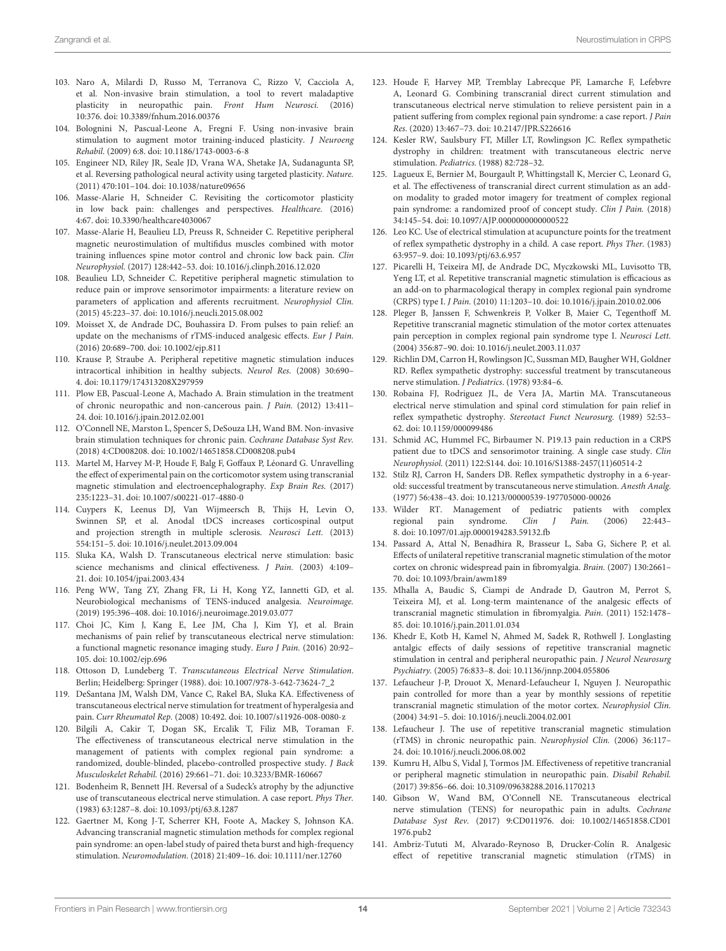- <span id="page-13-19"></span><span id="page-13-18"></span><span id="page-13-0"></span>103. Naro A, Milardi D, Russo M, Terranova C, Rizzo V, Cacciola A, et al. Non-invasive brain stimulation, a tool to revert maladaptive plasticity in neuropathic pain. Front Hum Neurosci. (2016) 10:376. doi: [10.3389/fnhum.2016.00376](https://doi.org/10.3389/fnhum.2016.00376)
- 104. Bolognini N, Pascual-Leone A, Fregni F. Using non-invasive brain stimulation to augment motor training-induced plasticity. J Neuroeng Rehabil. (2009) 6:8. doi: [10.1186/1743-0003-6-8](https://doi.org/10.1186/1743-0003-6-8)
- 105. Engineer ND, Riley JR, Seale JD, Vrana WA, Shetake JA, Sudanagunta SP, et al. Reversing pathological neural activity using targeted plasticity. Nature. (2011) 470:101–104. doi: [10.1038/nature09656](https://doi.org/10.1038/nature09656)
- <span id="page-13-1"></span>106. Masse-Alarie H, Schneider C. Revisiting the corticomotor plasticity in low back pain: challenges and perspectives. Healthcare. (2016) 4:67. doi: [10.3390/healthcare4030067](https://doi.org/10.3390/healthcare4030067)
- <span id="page-13-2"></span>107. Masse-Alarie H, Beaulieu LD, Preuss R, Schneider C. Repetitive peripheral magnetic neurostimulation of multifidus muscles combined with motor training influences spine motor control and chronic low back pain. Clin Neurophysiol. (2017) 128:442–53. doi: [10.1016/j.clinph.2016.12.020](https://doi.org/10.1016/j.clinph.2016.12.020)
- <span id="page-13-3"></span>108. Beaulieu LD, Schneider C. Repetitive peripheral magnetic stimulation to reduce pain or improve sensorimotor impairments: a literature review on parameters of application and afferents recruitment. Neurophysiol Clin. (2015) 45:223–37. doi: [10.1016/j.neucli.2015.08.002](https://doi.org/10.1016/j.neucli.2015.08.002)
- <span id="page-13-4"></span>109. Moisset X, de Andrade DC, Bouhassira D. From pulses to pain relief: an update on the mechanisms of rTMS-induced analgesic effects. Eur J Pain. (2016) 20:689–700. doi: [10.1002/ejp.811](https://doi.org/10.1002/ejp.811)
- <span id="page-13-5"></span>110. Krause P, Straube A. Peripheral repetitive magnetic stimulation induces intracortical inhibition in healthy subjects. Neurol Res. (2008) 30:690– 4. doi: [10.1179/174313208X297959](https://doi.org/10.1179/174313208X297959)
- <span id="page-13-6"></span>111. Plow EB, Pascual-Leone A, Machado A. Brain stimulation in the treatment of chronic neuropathic and non-cancerous pain. J Pain. (2012) 13:411– 24. doi: [10.1016/j.jpain.2012.02.001](https://doi.org/10.1016/j.jpain.2012.02.001)
- <span id="page-13-7"></span>112. O'Connell NE, Marston L, Spencer S, DeSouza LH, Wand BM. Non-invasive brain stimulation techniques for chronic pain. Cochrane Database Syst Rev. (2018) 4:CD008208. doi: [10.1002/14651858.CD008208.pub4](https://doi.org/10.1002/14651858.CD008208.pub4)
- <span id="page-13-8"></span>113. Martel M, Harvey M-P, Houde F, Balg F, Goffaux P, Léonard G. Unravelling the effect of experimental pain on the corticomotor system using transcranial magnetic stimulation and electroencephalography. Exp Brain Res. (2017) 235:1223–31. doi: [10.1007/s00221-017-4880-0](https://doi.org/10.1007/s00221-017-4880-0)
- <span id="page-13-9"></span>114. Cuypers K, Leenus DJ, Van Wijmeersch B, Thijs H, Levin O, Swinnen SP, et al. Anodal tDCS increases corticospinal output and projection strength in multiple sclerosis. Neurosci Lett. (2013) 554:151–5. doi: [10.1016/j.neulet.2013.09.004](https://doi.org/10.1016/j.neulet.2013.09.004)
- <span id="page-13-10"></span>115. Sluka KA, Walsh D. Transcutaneous electrical nerve stimulation: basic science mechanisms and clinical effectiveness. J Pain. (2003) 4:109-21. doi: [10.1054/jpai.2003.434](https://doi.org/10.1054/jpai.2003.434)
- <span id="page-13-11"></span>116. Peng WW, Tang ZY, Zhang FR, Li H, Kong YZ, Iannetti GD, et al. Neurobiological mechanisms of TENS-induced analgesia. Neuroimage. (2019) 195:396–408. doi: [10.1016/j.neuroimage.2019.03.077](https://doi.org/10.1016/j.neuroimage.2019.03.077)
- <span id="page-13-12"></span>117. Choi JC, Kim J, Kang E, Lee JM, Cha J, Kim YJ, et al. Brain mechanisms of pain relief by transcutaneous electrical nerve stimulation: a functional magnetic resonance imaging study. Euro J Pain. (2016) 20:92– 105. doi: [10.1002/ejp.696](https://doi.org/10.1002/ejp.696)
- 118. Ottoson D, Lundeberg T. Transcutaneous Electrical Nerve Stimulation. Berlin; Heidelberg: Springer (1988). doi: [10.1007/978-3-642-73624-7\\_2](https://doi.org/10.1007/978-3-642-73624-7_2)
- <span id="page-13-13"></span>119. DeSantana JM, Walsh DM, Vance C, Rakel BA, Sluka KA. Effectiveness of transcutaneous electrical nerve stimulation for treatment of hyperalgesia and pain. Curr Rheumatol Rep. (2008) 10:492. doi: [10.1007/s11926-008-0080-z](https://doi.org/10.1007/s11926-008-0080-z)
- <span id="page-13-38"></span>120. Bilgili A, Cakir T, Dogan SK, Ercalik T, Filiz MB, Toraman F. The effectiveness of transcutaneous electrical nerve stimulation in the management of patients with complex regional pain syndrome: a randomized, double-blinded, placebo-controlled prospective study. J Back Musculoskelet Rehabil. (2016) 29:661–71. doi: [10.3233/BMR-160667](https://doi.org/10.3233/BMR-160667)
- <span id="page-13-35"></span>121. Bodenheim R, Bennett JH. Reversal of a Sudeck's atrophy by the adjunctive use of transcutaneous electrical nerve stimulation. A case report. Phys Ther. (1983) 63:1287–8. doi: [10.1093/ptj/63.8.1287](https://doi.org/10.1093/ptj/63.8.1287)
- <span id="page-13-15"></span>122. Gaertner M, Kong J-T, Scherrer KH, Foote A, Mackey S, Johnson KA. Advancing transcranial magnetic stimulation methods for complex regional pain syndrome: an open-label study of paired theta burst and high-frequency stimulation. Neuromodulation. (2018) 21:409–16. doi: [10.1111/ner.12760](https://doi.org/10.1111/ner.12760)
- <span id="page-13-32"></span><span id="page-13-17"></span>123. Houde F, Harvey MP, Tremblay Labrecque PF, Lamarche F, Lefebvre A, Leonard G. Combining transcranial direct current stimulation and transcutaneous electrical nerve stimulation to relieve persistent pain in a patient suffering from complex regional pain syndrome: a case report. J Pain Res. (2020) 13:467–73. doi: [10.2147/JPR.S226616](https://doi.org/10.2147/JPR.S226616)
- <span id="page-13-36"></span>124. Kesler RW, Saulsbury FT, Miller LT, Rowlingson JC. Reflex sympathetic dystrophy in children: treatment with transcutaneous electric nerve stimulation. Pediatrics. (1988) 82:728–32.
- <span id="page-13-31"></span>125. Lagueux E, Bernier M, Bourgault P, Whittingstall K, Mercier C, Leonard G, et al. The effectiveness of transcranial direct current stimulation as an addon modality to graded motor imagery for treatment of complex regional pain syndrome: a randomized proof of concept study. Clin J Pain. (2018) 34:145–54. doi: [10.1097/AJP.0000000000000522](https://doi.org/10.1097/AJP.0000000000000522)
- <span id="page-13-34"></span>126. Leo KC. Use of electrical stimulation at acupuncture points for the treatment of reflex sympathetic dystrophy in a child. A case report. Phys Ther. (1983) 63:957–9. doi: [10.1093/ptj/63.6.957](https://doi.org/10.1093/ptj/63.6.957)
- <span id="page-13-16"></span>127. Picarelli H, Teixeira MJ, de Andrade DC, Myczkowski ML, Luvisotto TB, Yeng LT, et al. Repetitive transcranial magnetic stimulation is efficacious as an add-on to pharmacological therapy in complex regional pain syndrome (CRPS) type I. J Pain. (2010) 11:1203–10. doi: [10.1016/j.jpain.2010.02.006](https://doi.org/10.1016/j.jpain.2010.02.006)
- <span id="page-13-14"></span>128. Pleger B, Janssen F, Schwenkreis P, Volker B, Maier C, Tegenthoff M. Repetitive transcranial magnetic stimulation of the motor cortex attenuates pain perception in complex regional pain syndrome type I. Neurosci Lett. (2004) 356:87–90. doi: [10.1016/j.neulet.2003.11.037](https://doi.org/10.1016/j.neulet.2003.11.037)
- 129. Richlin DM, Carron H, Rowlingson JC, Sussman MD, Baugher WH, Goldner RD. Reflex sympathetic dystrophy: successful treatment by transcutaneous nerve stimulation. J Pediatrics. (1978) 93:84–6.
- <span id="page-13-37"></span><span id="page-13-29"></span><span id="page-13-28"></span><span id="page-13-27"></span><span id="page-13-26"></span><span id="page-13-25"></span><span id="page-13-24"></span><span id="page-13-23"></span><span id="page-13-22"></span><span id="page-13-21"></span><span id="page-13-20"></span>130. Robaina FJ, Rodriguez JL, de Vera JA, Martin MA. Transcutaneous electrical nerve stimulation and spinal cord stimulation for pain relief in reflex sympathetic dystrophy. Stereotact Funct Neurosurg. (1989) 52:53– 62. doi: [10.1159/000099486](https://doi.org/10.1159/000099486)
- <span id="page-13-30"></span>131. Schmid AC, Hummel FC, Birbaumer N. P19.13 pain reduction in a CRPS patient due to tDCS and sensorimotor training. A single case study. Clin Neurophysiol. (2011) 122:S144. doi: [10.1016/S1388-2457\(11\)60514-2](https://doi.org/10.1016/S1388-2457(11)60514-2)
- 132. Stilz RJ, Carron H, Sanders DB. Reflex sympathetic dystrophy in a 6-yearold: successful treatment by transcutaneous nerve stimulation. Anesth Analg. (1977) 56:438–43. doi: [10.1213/00000539-197705000-00026](https://doi.org/10.1213/00000539-197705000-00026)
- <span id="page-13-33"></span>133. Wilder RT. Management of pediatric patients with complex regional pain syndrome. Clin J Pain. (2006) 22:443– 8. doi: [10.1097/01.ajp.0000194283.59132.fb](https://doi.org/10.1097/01.ajp.0000194283.59132.fb)
- <span id="page-13-39"></span>134. Passard A, Attal N, Benadhira R, Brasseur L, Saba G, Sichere P, et al. Effects of unilateral repetitive transcranial magnetic stimulation of the motor cortex on chronic widespread pain in fibromyalgia. Brain. (2007) 130:2661– 70. doi: [10.1093/brain/awm189](https://doi.org/10.1093/brain/awm189)
- <span id="page-13-40"></span>135. Mhalla A, Baudic S, Ciampi de Andrade D, Gautron M, Perrot S, Teixeira MJ, et al. Long-term maintenance of the analgesic effects of transcranial magnetic stimulation in fibromyalgia. Pain. (2011) 152:1478– 85. doi: [10.1016/j.pain.2011.01.034](https://doi.org/10.1016/j.pain.2011.01.034)
- <span id="page-13-41"></span>136. Khedr E, Kotb H, Kamel N, Ahmed M, Sadek R, Rothwell J. Longlasting antalgic effects of daily sessions of repetitive transcranial magnetic stimulation in central and peripheral neuropathic pain. J Neurol Neurosurg Psychiatry. (2005) 76:833–8. doi: [10.1136/jnnp.2004.055806](https://doi.org/10.1136/jnnp.2004.055806)
- 137. Lefaucheur J-P, Drouot X, Menard-Lefaucheur I, Nguyen J. Neuropathic pain controlled for more than a year by monthly sessions of repetitie transcranial magnetic stimulation of the motor cortex. Neurophysiol Clin. (2004) 34:91–5. doi: [10.1016/j.neucli.2004.02.001](https://doi.org/10.1016/j.neucli.2004.02.001)
- 138. Lefaucheur J. The use of repetitive transcranial magnetic stimulation (rTMS) in chronic neuropathic pain. Neurophysiol Clin. (2006) 36:117– 24. doi: [10.1016/j.neucli.2006.08.002](https://doi.org/10.1016/j.neucli.2006.08.002)
- 139. Kumru H, Albu S, Vidal J, Tormos JM. Effectiveness of repetitive trancranial or peripheral magnetic stimulation in neuropathic pain. Disabil Rehabil. (2017) 39:856–66. doi: [10.3109/09638288.2016.1170213](https://doi.org/10.3109/09638288.2016.1170213)
- <span id="page-13-42"></span>140. Gibson W, Wand BM, O'Connell NE. Transcutaneous electrical nerve stimulation (TENS) for neuropathic pain in adults. Cochrane Database Syst Rev. [\(2017\) 9:CD011976. doi: 10.1002/14651858.CD01](https://doi.org/10.1002/14651858.CD011976.pub2) 1976.pub2
- <span id="page-13-43"></span>141. Ambriz-Tututi M, Alvarado-Reynoso B, Drucker-Colín R. Analgesic effect of repetitive transcranial magnetic stimulation (rTMS) in